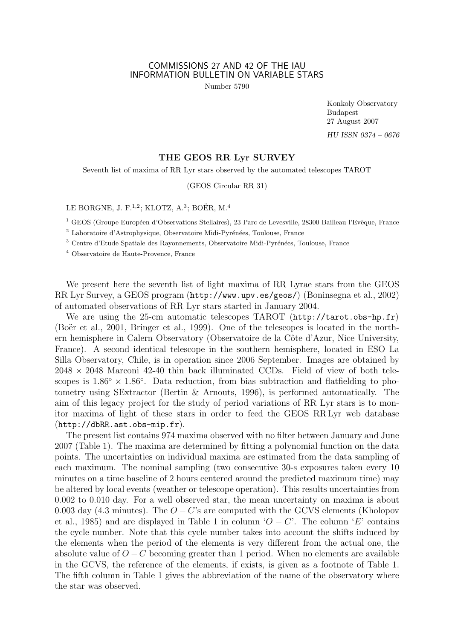## COMMISSIONS 27 AND 42 OF THE IAU INFORMATION BULLETIN ON VARIABLE STARS

Number 5790

Konkoly Observatory Budapest 27 August 2007 HU ISSN 0374 – 0676

## THE GEOS RR Lyr SURVEY

Seventh list of maxima of RR Lyr stars observed by the automated telescopes TAROT

(GEOS Circular RR 31)

LE BORGNE, J. F.<sup>1,2</sup>; KLOTZ, A.<sup>3</sup>; BOËR, M.<sup>4</sup>

<sup>1</sup> GEOS (Groupe Européen d'Observations Stellaires), 23 Parc de Levesville, 28300 Bailleau l'Evêque, France

 $^2$  Laboratoire d'Astrophysique, Observatoire Midi-Pyrénées, Toulouse, France

 $3$  Centre d'Etude Spatiale des Rayonnements, Observatoire Midi-Pyrénées, Toulouse, France

<sup>4</sup> Observatoire de Haute-Provence, France

We present here the seventh list of light maxima of RR Lyrae stars from the GEOS RR Lyr Survey, a GEOS program (http://www.upv.es/geos/) (Boninsegna et al., 2002) of automated observations of RR Lyr stars started in January 2004.

We are using the 25-cm automatic telescopes TAROT (http://tarot.obs-hp.fr) (Boër et al., 2001, Bringer et al., 1999). One of the telescopes is located in the northern hemisphere in Calern Observatory (Observatoire de la Côte d'Azur, Nice University, France). A second identical telescope in the southern hemisphere, located in ESO La Silla Observatory, Chile, is in operation since 2006 September. Images are obtained by  $2048 \times 2048$  Marconi 42-40 thin back illuminated CCDs. Field of view of both telescopes is  $1.86° \times 1.86°$ . Data reduction, from bias subtraction and flatfielding to photometry using SExtractor (Bertin & Arnouts, 1996), is performed automatically. The aim of this legacy project for the study of period variations of RR Lyr stars is to monitor maxima of light of these stars in order to feed the GEOS RR Lyr web database (http://dbRR.ast.obs-mip.fr).

The present list contains 974 maxima observed with no filter between January and June 2007 (Table 1). The maxima are determined by fitting a polynomial function on the data points. The uncertainties on individual maxima are estimated from the data sampling of each maximum. The nominal sampling (two consecutive 30-s exposures taken every 10 minutes on a time baseline of 2 hours centered around the predicted maximum time) may be altered by local events (weather or telescope operation). This results uncertainties from 0.002 to 0.010 day. For a well observed star, the mean uncertainty on maxima is about 0.003 day (4.3 minutes). The  $O - C$ 's are computed with the GCVS elements (Kholopov et al., 1985) and are displayed in Table 1 in column ' $O - C'$ . The column 'E' contains the cycle number. Note that this cycle number takes into account the shifts induced by the elements when the period of the elements is very different from the actual one, the absolute value of  $O - C$  becoming greater than 1 period. When no elements are available in the GCVS, the reference of the elements, if exists, is given as a footnote of Table 1. The fifth column in Table 1 gives the abbreviation of the name of the observatory where the star was observed.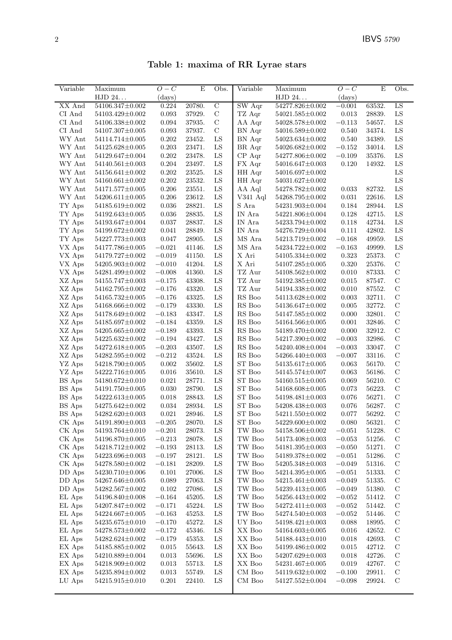Table 1: maxima of RR Lyrae stars

| Variable                              | Maximum                            | $O-C$                | $\overline{E}$   | Obs.             | Variable                                       | $\overline{\text{Maximum}}$        | $O-C$          | $\overline{\mathrm{E}}$ | Obs.                       |
|---------------------------------------|------------------------------------|----------------------|------------------|------------------|------------------------------------------------|------------------------------------|----------------|-------------------------|----------------------------|
|                                       | ${\rm HJD}$ 24.                    | $\rm (days)$         |                  |                  |                                                | HJD 24                             | $\rm (days)$   |                         |                            |
| XX And                                | 54106.347±0.002                    | 0.224                | 20780.           | $\overline{C}$   | $\overline{\mathrm{SW A}}$ qr                  | 54277.826±0.002                    | $-0.001$       | 63532.                  | LS                         |
| CI And                                | 54103.429±0.002                    | $\,0.093\,$          | 37929.           | $\mathbf C$      | TZ Aqr                                         | 54021.585±0.002                    | 0.013          | 28839.                  | ${\rm LS}$                 |
| CI And                                | 54106.338±0.002                    | 0.094                | 37935.           | $\mathbf C$      | AA Aqr                                         | 54028.578±0.002                    | $-0.113$       | 54657.                  | ${\rm LS}$                 |
| CI And                                | $54107.307 \pm 0.005$              | 0.093                | 37937.           | $\mathbf C$      | BN Aqr                                         | 54016.589±0.002                    | 0.540          | 34374.                  | LS                         |
| $\ensuremath{\text{WY}}\xspace$ Ant   | $54114.714\pm0.005$                | 0.202                | 23452.           | ${\rm LS}$       | BN Aqr                                         | 54023.634±0.002                    | 0.540          | 34389.                  | ${\rm LS}$                 |
| WY Ant                                | 54125.628±0.005                    | 0.203                | 23471.           | LS               | BR Aqr                                         | 54026.682±0.002                    | $-0.152$       | 34014.                  | LS                         |
| WY Ant                                | 54129.647±0.004                    | 0.202                | 23478.           | ${\rm LS}$       | CP Aqr                                         | 54277.806±0.002                    | $-0.109$       | 35376.                  | LS                         |
| WY Ant                                | $54140.561 \pm 0.003$              | 0.204                | 23497.           | ${\rm LS}$       | FX Aqr                                         | 54016.647±0.003                    | 0.120          | 14932.                  | ${\rm LS}$                 |
| WY Ant                                | $54156.641 \pm 0.002$              | 0.202                | 23525.           | LS               | HH Aqr                                         | 54016.697±0.002                    |                |                         | ${\rm LS}$                 |
| WY Ant                                | 54160.661±0.002                    | 0.202                | 23532.           | ${\rm LS}$       | HH Aqr                                         | 54031.627±0.002                    |                |                         | ${\rm LS}$                 |
| WY Ant                                | 54171.577±0.005                    | 0.206                | 23551.           | LS               | AA Aql                                         | 54278.782±0.002                    | 0.033          | 82732.                  | ${\rm LS}$                 |
| WY Ant                                | $54206.611 \pm 0.005$              | 0.206                | 23612.           | LS               | V341 Aql                                       | 54268.795±0.002                    | 0.031          | 22616.                  | ${\rm LS}$                 |
| $\mathcal{T}\mathcal{Y}$ Aps          | 54185.619±0.002                    | 0.036                | 28821.           | LS               | S Ara                                          | 54231.903±0.004                    | 0.184          | 28944.                  | LS                         |
| TY Aps                                | 54192.643±0.005                    | 0.036                | 28835.           | ${\rm LS}$       | IN Ara                                         | 54221.806±0.004                    | 0.128          | 42715.                  | ${\rm LS}$                 |
| TY Aps                                | 54193.647±0.004                    | 0.037                | 28837.           | LS               | $\ensuremath{\text{IN}}\xspace$ Ara            | 54233.794±0.002                    | 0.118          | 42734.                  | LS                         |
| TY Aps                                | 54199.672±0.002                    | 0.041                | 28849.           | ${\rm LS}$       | IN Ara                                         | 54276.729±0.004                    | 0.111          | 42802.                  | LS                         |
| TY Aps                                | 54227.773±0.003                    | 0.047                | 28905.           | LS               | $\rm MS$ Ara                                   | 54213.719±0.002                    | $-0.168$       | 49959.                  | ${\rm LS}$                 |
| VX Aps                                | 54177.786±0.005                    | $-0.021$             | 41146.           | LS               | MS Ara                                         | 54234.722±0.002                    | $-0.163$       | 49999.                  | LS                         |
| VX Aps                                | 54179.727±0.002                    | $-0.019$             | 41150.           | ${\rm LS}$       | X Ari                                          | 54105.334±0.002                    | $0.323\,$      | 25373.                  | $\mathbf C$                |
| VX Aps                                | $54205.903 \pm 0.002$              | $-0.010$             | 41204.           | LS               | X Ari                                          | $54107.285 \pm 0.005$              | 0.320          | 25376.                  | $\mathbf C$                |
| VX Aps                                | 54281.499±0.002                    | $-0.008$             | 41360.           | ${\rm LS}$       | TZ Aur                                         | $54108.562 \pm 0.002$              | 0.010          | 87333.                  | $\mathbf C$                |
| XZ Aps                                | 54155.747±0.003                    | $-0.175$             | 43308.           | LS               | TZ Aur                                         | 54192.385±0.002<br>54194.338±0.002 | 0.015          | 87547.<br>87552.        | $\mathbf C$<br>$\mathbf C$ |
| XZ Aps                                | 54162.795±0.002                    | $-0.176$             | 43320.           | LS               | TZ Aur                                         |                                    | 0.010          |                         |                            |
| XZ Aps                                | 54165.732±0.005                    | $-0.176$             | 43325.           | LS<br>${\rm LS}$ | $\mathop{\rm RS}$ Boo<br>$\mathop{\rm RS}$ Boo | 54113.628±0.002                    | 0.003          | 32711.                  | $\mathbf C$<br>$\mathbf C$ |
| XZ Aps<br>$\rm XZ$ Aps                | 54168.666±0.002<br>54178.649±0.002 | $-0.179$<br>$-0.183$ | 43330.<br>43347. | LS               | $\mathop{\rm RS}$ Boo                          | 54136.647±0.002<br>54147.585±0.002 | 0.005<br>0.000 | 32772.<br>32801.        | $\mathbf C$                |
| XZ Aps                                | 54185.697±0.002                    | $-0.184$             | 43359.           | ${\rm LS}$       | $\mathop{\rm RS}$ Boo                          | 54164.566±0.005                    | 0.001          | 32846.                  | $\mathbf C$                |
| $XZ$ Aps                              | $54205.665 \pm 0.002$              | $-0.189$             | 43393.           | LS               | RS Boo                                         | 54189.470±0.002                    | 0.000          | 32912.                  | $\mathcal{C}$              |
| XZ Aps                                | 54225.632±0.002                    | $-0.194$             | 43427.           | LS               | RS Boo                                         | 54217.390 $\pm$ 0.002              | $-0.003$       | 32986.                  | $\mathbf C$                |
| XZ Aps                                | 54272.618±0.005                    | $-0.203$             | 43507.           | LS               | RS Boo                                         | 54240.408±0.004                    | $-0.003$       | 33047.                  | $\mathbf C$                |
| XZ Aps                                | 54282.595±0.002                    | $-0.212$             | 43524.           | ${\rm LS}$       | RS Boo                                         | 54266.440±0.003                    | $-0.007$       | 33116.                  | $\mathbf C$                |
| YZ Aps                                | 54218.790 $\pm$ 0.005              | 0.002                | 35602.           | ${\rm LS}$       | ${\rm ST}$ Boo                                 | 54135.617±0.005                    | 0.063          | 56170.                  | $\mathbf C$                |
| YZ Aps                                | 54222.716±0.005                    | 0.016                | 35610.           | ${\rm LS}$       | ${\rm ST}$ Boo                                 | 54145.574±0.007                    | 0.063          | 56186.                  | $\mathbf C$                |
| $\mathop{\hbox{\rm BS}}\nolimits$ Aps | 54180.672±0.010                    | 0.021                | 28771.           | LS               | ${\rm ST}$ Boo                                 | $54160.515 \pm 0.005$              | 0.069          | 56210.                  | $\mathcal{C}$              |
| $\mathop{\hbox{\rm BS}}\nolimits$ Aps | 54191.750±0.005                    | 0.030                | 28790.           | LS               | ST Boo                                         | 54168.608±0.005                    | 0.073          | 56223.                  | $\mathbf C$                |
| BS Aps                                | 54222.613±0.005                    | 0.018                | 28843.           | LS               | ${\rm ST}$ Boo                                 | 54198.481±0.003                    | 0.076          | 56271.                  | $\mathbf C$                |
| BS Aps                                | 54275.642±0.002                    | 0.034                | 28934.           | ${\rm LS}$       | ${\rm ST}$ Boo                                 | 54208.438±0.003                    | 0.076          | 56287.                  | $\mathcal{C}$              |
| $\mathop{\hbox{\rm BS}}\nolimits$ Aps | 54282.620±0.003                    | 0.021                | 28946.           | ${\rm LS}$       | ${\rm ST}$ Boo                                 | 54211.550±0.002                    | 0.077          | 56292.                  | $\mathbf C$                |
| CK Aps                                | $54191.890{\pm}0.003$              | $-0.205$             | 28070.           | ${\rm LS}$       | ${\rm ST}$ Boo                                 | $54229.600 {\pm} 0.002$            | 0.080          | 56321.                  | $\mathbf C$                |
| CK Aps                                | 54193.764±0.010                    | $-0.201$             | 28073.           | LS               | TW Boo                                         | 54158.506±0.002                    | $-0.051$       | 51228.                  | $\mathcal{C}$              |
| CK Aps                                | 54196.870±0.005                    | $-0.213$             | 28078.           | LS               | TW Boo                                         | 54173.408±0.003                    | $-0.053$       | 51256.                  | $\mathbf C$                |
| CK Aps                                | 54218.712±0.002                    | $-0.193$             | 28113.           | LS               | TW Boo                                         | 54181.395±0.003                    | $-0.050$       | 51271.                  | $\mathbf C$                |
| CK Aps                                | 54223.696±0.003                    | $-0.197$             | 28121.           | ${\rm LS}$       | TW Boo                                         | 54189.378±0.002                    | $-0.051$       | 51286.                  | $\mathcal{C}$              |
| CK Aps                                | 54278.580±0.002                    | $-0.181$             | 28209.           | LS               | TW Boo                                         | 54205.348±0.003                    | $-0.049$       | 51316.                  | $\mathbf C$                |
| DD Aps                                | $54230.710 \pm 0.006$              | 0.101                | 27006.           | LS               | TW Boo                                         | 54214.395±0.005                    | $-0.051$       | 51333.                  | $\mathbf C$                |
| DD Aps                                | 54267.646±0.005                    | $\,0.089\,$          | 27063.           | LS               | TW Boo                                         | 54215.461±0.003                    | $-0.049$       | 51335.                  | $\mathbf C$                |
| DD Aps                                | 54282.567±0.002                    | 0.102                | 27086.           | LS               | TW Boo                                         | 54239.413±0.005                    | $-0.049$       | 51380.                  | $\mathbf C$                |
| EL Aps                                | 54196.840±0.008                    | $-0.164$             | 45205.           | LS               | $\operatorname{TW}$ Boo                        | 54256.443±0.002                    | $-0.052$       | 51412.                  | $\mathbf C$                |
| EL Aps                                | 54207.847±0.002                    | $-0.171$             | 45224.           | LS               | $\operatorname{TW}$ Boo                        | 54272.411±0.003                    | $-0.052$       | 51442.                  | $\mathbf C$                |
| EL Aps                                | 54224.667±0.005                    | $-0.163$             | 45253.           | LS               | TW Boo                                         | 54274.540±0.003                    | $-0.052$       | 51446.                  | $\mathbf C$                |
| EL Aps                                | 54235.675±0.010                    | $-0.170$             | 45272.           | LS               | $\mathop{\rm UV}$ Boo                          | $54198.421 \pm 0.003$              | 0.088          | 18995.                  | $\mathbf C$                |
| EL Aps                                | 54278.573±0.002                    | $-0.172$             | 45346.           | LS               | XX Boo                                         | 54164.603±0.005                    | 0.016          | 42652.                  | C                          |
| EL Aps                                | 54282.624±0.002                    | $-0.179$             | 45353.           | LS               | XX Boo                                         | 54188.443±0.010                    | 0.018          | 42693.                  | $\mathbf C$                |
| EX Aps                                | 54185.885±0.002                    | 0.015                | 55643.           | LS               | XX Boo                                         | $54199.486{\pm}0.002$              | 0.015          | 42712.                  | C                          |
| EX Aps                                | 54210.889±0.004                    | 0.013                | 55696.           | ${\rm LS}$       | XX Boo                                         | 54207.629±0.003                    | 0.018          | 42726.                  | $\mathcal{C}$              |
| EX Aps                                | 54218.909±0.002                    | 0.013                | 55713.           | LS               | XX Boo                                         | 54231.467±0.005                    | 0.019          | 42767.                  | $\mathcal{C}$              |
| EX Aps                                | 54235.894±0.002                    | 0.013                | 55749.           | LS               | CM Boo                                         | 54119.632±0.002                    | $-0.100$       | 29911.                  | $\mathcal{C}$              |
| LU Aps                                | 54215.915±0.010                    | 0.201                | 22410.           | ${\rm LS}$       | CM Boo                                         | 54127.552±0.004                    | $-0.098$       | 29924.                  | $\mathcal{C}$              |
|                                       |                                    |                      |                  |                  |                                                |                                    |                |                         |                            |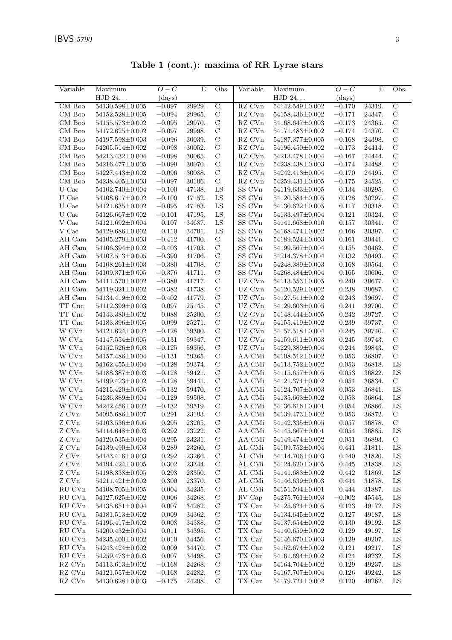| Variable                | Maximum               | $O-C$     | E      | Obs.           | Variable                   | Maximum               | $O-C$    | E      | Obs.           |
|-------------------------|-----------------------|-----------|--------|----------------|----------------------------|-----------------------|----------|--------|----------------|
|                         | HJD 24                | (days)    |        |                |                            | HJD 24                | (days)   |        |                |
| CM Boo                  | 54130.598±0.005       | $-0.097$  | 29929. | $\overline{C}$ | $R\overline{Z}$ CVn        | 54142.549±0.002       | $-0.170$ | 24319. | $\overline{C}$ |
| CM Boo                  | $54152.528 \pm 0.005$ | $-0.094$  | 29965. | $\mathbf C$    | $\mathbf{R}\mathbf{Z}$ CVn | 54158.436±0.002       | $-0.171$ | 24347. | $\mathbf C$    |
| CM Boo                  | $54155.573{\pm}0.002$ | $-0.095$  | 29970. | $\mathbf C$    | $\mathbf{R}\mathbf{Z}$ CVn | 54168.647±0.003       | $-0.173$ | 24365. | $\mathbf C$    |
| CM Boo                  | $54172.625 \pm 0.002$ | $-0.097$  | 29998. | $\mathbf C$    | RZ CVn                     | 54171.483±0.002       | $-0.174$ | 24370. | $\mathbf C$    |
| CM Boo                  | 54197.598±0.003       | $-0.096$  | 30039. | $\mathcal{C}$  | RZ CVn                     | $54187.377 \pm 0.005$ | $-0.168$ | 24398. | $\mathbf C$    |
| CM Boo                  | 54205.514±0.002       | $-0.098$  | 30052. | $\mathbf C$    | RZ CVn                     | 54196.450±0.002       | $-0.173$ | 24414. | $\mathbf C$    |
| CM Boo                  | 54213.432±0.004       | $-0.098$  | 30065. | $\mathbf C$    | RZ CVn                     | 54213.478±0.004       | $-0.167$ | 24444. | $\mathbf C$    |
| CM Boo                  | $54216.477{\pm}0.005$ | $-0.099$  | 30070. | $\mathbf C$    | RZ CVn                     | 54238.438±0.003       | $-0.174$ | 24488. | $\mathbf C$    |
| CM Boo                  | 54227.443±0.002       | $-0.096$  | 30088. | $\mathbf C$    | RZ CVn                     | 54242.413±0.004       | $-0.170$ | 24495. | $\mathbf C$    |
| CM Boo                  | 54238.405±0.003       | $-0.097$  | 30106. | $\mathbf C$    | RZ CVn                     | $54259.431 \pm 0.005$ | $-0.175$ | 24525. | $\mathbf C$    |
| U Cae                   | 54102.740±0.004       | $-0.100$  | 47138. | LS             | SS CVn                     | $54119.633\pm0.005$   | 0.134    | 30295. | $\mathbf C$    |
| U Cae                   | 54108.617±0.002       |           |        | LS             | SS CVn                     | 54120.584±0.005       | 0.128    | 30297. | $\mathbf C$    |
|                         |                       | $-0.100$  | 47152. | LS             | SS CVn                     |                       |          |        | $\mathbf C$    |
| U Cae                   | $54121.635 \pm 0.002$ | $-0.095$  | 47183. |                |                            | $54130.622 \pm 0.005$ | 0.117    | 30318. | $\mathbf C$    |
| U Cae                   | 54126.667±0.002       | $-0.101$  | 47195. | ${\rm LS}$     | $SS$ $\rm CVn$             | 54133.497±0.004       | 0.121    | 30324. |                |
| V Cae                   | 54121.692±0.004       | 0.107     | 34687. | LS             | SS CVn                     | 54141.668±0.010       | 0.157    | 30341. | $\mathbf C$    |
| V Cae                   | 54129.686±0.002       | 0.110     | 34701. | LS             | SS CVn                     | 54168.474±0.002       | 0.166    | 30397. | $\mathbf C$    |
| AH Cam                  | 54105.279±0.003       | $-0.412$  | 41700. | $\mathbf C$    | SS CVn                     | 54189.524±0.003       | 0.161    | 30441. | $\mathbf C$    |
| AH Cam                  | 54106.394±0.002       | $-0.403$  | 41703. | $\mathbf C$    | SS CVn                     | 54199.567±0.004       | 0.155    | 30462. | $\mathbf C$    |
| AH Cam                  | 54107.513±0.005       | $-0.390$  | 41706. | $\mathbf C$    | $SS$ $\rm CVn$             | 54214.378±0.004       | 0.132    | 30493. | $\mathbf C$    |
| AH Cam                  | 54108.261±0.003       | $-0.380$  | 41708. | $\mathbf C$    | ${\rm SS}$ CVn             | 54248.389±0.003       | 0.168    | 30564. | $\mathbf C$    |
| AH Cam                  | 54109.371±0.005       | $-0.376$  | 41711. | $\mathbf C$    | SS CVn                     | 54268.484±0.004       | 0.165    | 30606. | $\mathbf C$    |
| AH Cam                  | 54111.570±0.002       | $-0.389$  | 41717. | $\mathcal{C}$  | UZ CVn                     | $54113.553\pm0.005$   | 0.240    | 39677. | $\mathbf C$    |
| AH Cam                  | $54119.321 \pm 0.002$ | $-0.382$  | 41738. | $\mathcal{C}$  | UZ CVn                     | 54120.529±0.002       | 0.238    | 39687. | $\mathbf C$    |
| AH Cam                  | 54134.419±0.002       | $-0.402$  | 41779. | $\mathbf C$    | UZ CVn                     | $54127.511{\pm}0.002$ | 0.243    | 39697. | $\mathbf C$    |
| $\operatorname{TT}$ Cnc | 54112.399±0.003       | 0.097     | 25145. | $\mathbf C$    | $UZ$ $\hbox{C} {\rm Vn}$   | 54129.603±0.005       | 0.241    | 39700. | $\mathbf C$    |
| TT Cnc                  | 54143.380±0.002       | 0.088     | 25200. | $\mathbf C$    | $UZ$ $\hbox{C} {\rm Vn}$   | 54148.444±0.005       | 0.242    | 39727. | $\mathbf C$    |
| TT Cnc                  | 54183.396±0.005       | 0.099     | 25271. | $\mathbf C$    | UZ CVn                     | 54155.419±0.002       | 0.239    | 39737. | $\mathbf C$    |
| $\rm W~CVn$             | 54121.624±0.002       | $-0.128$  | 59300. | $\mathcal{C}$  | UZ CVn                     | $54157.518 \pm 0.004$ | 0.245    | 39740. | $\mathbf C$    |
| $\rm W$ CVn             | 54147.554±0.005       | $-0.131$  | 59347. | $\mathbf C$    | UZ CVn                     | $54159.611 \pm 0.003$ | 0.245    | 39743. | $\mathbf C$    |
| W CVn                   | 54152.526±0.003       | $-0.125$  | 59356. | $\mathcal{C}$  | UZ CVn                     | $54229.389 \pm 0.004$ | 0.244    | 39843. | $\mathcal{C}$  |
| W CVn                   | 54157.486±0.004       | $-0.131$  | 59365. | $\mathcal{C}$  | AA CMi                     | 54108.512±0.002       | 0.053    | 36807. | $\mathbf C$    |
| $\rm W~CVn$             | 54162.455±0.004       | $-0.128$  | 59374. | $\mathbf C$    | AA CMi                     | 54113.752 $\pm$ 0.002 | 0.053    | 36818. | ${\rm LS}$     |
| W CVn                   | 54188.387±0.003       | $-0.128$  | 59421. | $\mathbf C$    | AA CMi                     | $54115.657 \pm 0.005$ | 0.053    | 36822. | LS             |
| W CVn                   | 54199.423±0.002       | $-0.128$  | 59441. | $\mathbf C$    | AA CMi                     | 54121.374±0.002       | 0.054    | 36834. | $\mathbf C$    |
| W CVn                   | 54215.420±0.005       | $-0.132$  | 59470. | $\mathcal{C}$  | AA CMi                     | 54124.707±0.003       | 0.053    | 36841. | LS             |
| $\rm W~CVn$             | 54236.389±0.004       | $-0.129$  | 59508. | $\mathbf C$    | AA CMi                     | $54135.663 \pm 0.002$ | 0.053    | 36864. | LS             |
| W CVn                   | $54242.456{\pm}0.002$ | $-0.132$  | 59519. | $\mathbf C$    | AA CMi                     | $54136.616 \pm 0.001$ | 0.054    | 36866. | LS             |
| ${\rm Z}$ CVn           | 54095.686±0.007       | 0.291     | 23193. | $\mathbf C$    | AA CMi                     | 54139.473±0.002       | 0.053    | 36872. | $\mathbf C$    |
| Z CVn                   | $54103.536 \pm 0.005$ | $0.295\,$ | 23205. | $\mathcal{C}$  | AA CMi                     | $54142.335 \pm 0.005$ | 0.057    | 36878. | $\mathcal{C}$  |
| Z CVn                   | 54114.648±0.003       | 0.292     | 23222. | $\mathcal{C}$  | AA CMi                     | 54145.667±0.001       | 0.054    | 36885. | LS             |
| Z CVn                   | 54120.535±0.004       | 0.295     | 23231. | $\mathbf C$    | AA CMi                     | 54149.474±0.002       | 0.051    | 36893. | $\mathcal{C}$  |
| Z CVn                   | 54139.490±0.003       | 0.289     | 23260. | $\mathbf C$    | AL CMi                     | 54109.752±0.004       | 0.441    | 31811. | LS             |
| Z CVn                   | 54143.416±0.003       | $0.292\,$ | 23266. | $\mathbf C$    | AL CMi                     | 54114.706±0.003       | 0.440    | 31820. | LS             |
| Z CVn                   | 54194.424±0.005       | 0.302     | 23344. | $\mathbf C$    | AL CMi                     | $54124.620 \pm 0.005$ | 0.445    | 31838. | LS             |
| Z CVn                   | 54198.338±0.005       | 0.293     | 23350. | $\mathcal{C}$  | AL CMi                     | 54141.683±0.002       | 0.442    | 31869. | LS             |
| Z CVn                   | 54211.421±0.002       | 0.300     | 23370. | $\mathcal{C}$  | AL CMi                     | $54146.639 \pm 0.003$ | 0.444    | 31878. | LS             |
| RU CVn                  | 54108.705±0.005       | 0.004     | 34235. | $\mathcal{C}$  | AL CMi                     | 54151.594±0.001       | 0.444    | 31887. | LS             |
| RU CVn                  | 54127.625±0.002       | 0.006     | 34268. | $\mathbf C$    | RV Cap                     | $54275.761{\pm}0.003$ | $-0.002$ | 45545. | LS             |
| RU CVn                  | $54135.651 \pm 0.004$ | 0.007     | 34282. | $\mathbf C$    | TX Car                     | $54125.624 \pm 0.005$ | 0.123    | 49172. | LS             |
| RU CVn                  | 54181.513±0.002       | 0.009     | 34362. | $\mathbf C$    | TX Car                     | 54134.645±0.002       | 0.127    | 49187. | LS             |
| RU CVn                  | 54196.417±0.002       | 0.008     | 34388. | $\mathcal{C}$  | TX Car                     | $54137.654 \pm 0.002$ | 0.130    | 49192. | LS             |
| RU CVn                  | 54200.432±0.004       | 0.011     | 34395. | $\mathcal{C}$  | TX Car                     | 54140.659±0.002       | 0.129    | 49197. | LS             |
| ${\rm RU}$ CVn          | 54235.400 $\pm$ 0.002 | 0.010     | 34456. | $\mathcal{C}$  | TX Car                     | $54146.670{\pm}0.003$ | 0.129    | 49207. | LS             |
| RU CVn                  | 54243.424±0.002       | 0.009     | 34470. | $\mathbf C$    | TX Car                     | 54152.674±0.002       | 0.121    | 49217. | LS             |
| RU CVn                  | 54259.473±0.003       | 0.007     | 34498. | $\mathbf C$    | TX Car                     | $54161.694\pm0.002$   | 0.124    | 49232. | LS             |
| RZ CVn                  | 54113.613±0.002       | $-0.168$  | 24268. | $\mathcal{C}$  | TX Car                     | 54164.704±0.002       | 0.129    | 49237. | LS             |
| RZ CVn                  | $54121.557 \pm 0.002$ | $-0.168$  | 24282. | $\mathcal{C}$  | TX Car                     | $54167.707 \pm 0.004$ | 0.126    | 49242. | LS             |
| RZ CVn                  | 54130.628±0.003       | $-0.175$  | 24298. | $\mathcal{C}$  | TX Car                     | 54179.724±0.002       | 0.120    | 49262. | LS             |
|                         |                       |           |        |                |                            |                       |          |        |                |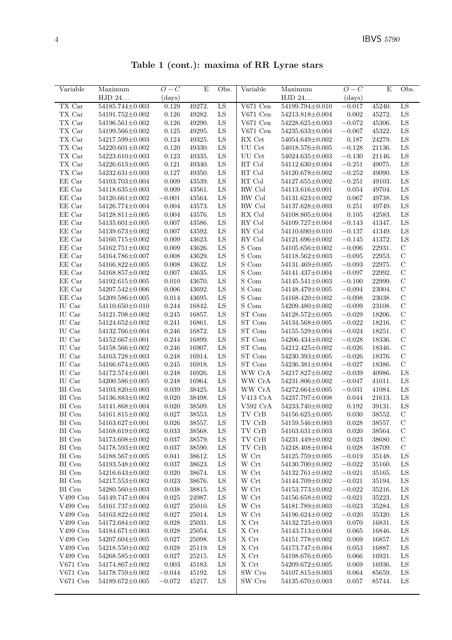Table 1 (cont.): maxima of RR Lyrae stars

| Variable                 | Maximum                            | $O-C$                | E                | Obs.        | Variable                                 | Maximum                            | $O-C$                | E                | Obs.                         |
|--------------------------|------------------------------------|----------------------|------------------|-------------|------------------------------------------|------------------------------------|----------------------|------------------|------------------------------|
|                          | HJD 24                             | $\rm (days)$         |                  |             |                                          | ${\rm HJD}$ 24.                    | (days)               |                  |                              |
| TX Car                   | 54185.744±0.003                    | 0.129                | 49272.           | LS          | $V671$ Cen                               | 54199.794±0.010                    | $-0.017$             | 45240.           | LS                           |
| TX Car                   | 54191.752±0.002                    | 0.126                | 49282.           | LS          | $V671$ Cen                               | 54213.818±0.004                    | 0.002                | 45272.           | LS                           |
| TX Car                   | $54196.561 \pm 0.002$              | 0.126                | 49290.           | ${\rm LS}$  | $V671$ Cen                               | 54228.625±0.003                    | $-0.072$             | 45306.           | LS                           |
| TX Car                   | 54199.566±0.002                    | 0.125                | 49295.           | $_{\rm LS}$ | V671 Cen                                 | 54235.633±0.004                    | $-0.067$             | 45322.           | LS                           |
| TX Car                   | 54217.599±0.003                    | 0.124                | 49325.           | LS          | RX Cet                                   | 54054.649±0.002                    | 0.187                | 24279.           | LS                           |
| TX Car                   | $54220.601 \pm 0.002$              | 0.120                | 49330.           | LS          | UU Cet                                   | 54018.576±0.005                    | $-0.128$             | 21136.           | LS                           |
| TX Car                   | 54223.610±0.003                    | 0.123                | 49335.           | LS          | UU Cet                                   | 54024.635±0.003                    | $-0.130$             | 21146.           | LS                           |
| TX Car                   | 54226.613±0.005                    | 0.121                | 49340.           | LS          | RT Col                                   | 54112.630±0.004                    | $-0.251$             | 49075.           | LS                           |
| TX Car                   | $54232.631 \pm 0.003$              | 0.127                | 49350.           | ${\rm LS}$  | $\mathop{\rm RT}$ Col                    | 54120.678±0.002                    | $-0.252$             | 49090.           | LS                           |
| EE Car                   | 54103.703±0.004                    | 0.009                | 43539.           | ${\rm LS}$  | $\mathop{\rm RT}$ Col                    | 54127.655±0.002                    | $-0.251$             | 49103.           | LS                           |
| EE Car                   | 54118.635±0.003                    | 0.009                | 43561.           | LS          | RW Col                                   | 54113.616±0.001                    | 0.054                | 49704.           | LS                           |
| EE Car                   | $54120.661 \pm 0.002$              | $-0.001$             | 43564.           | LS          | RW Col                                   | 54131.623±0.002                    | 0.067                | 49738.           | LS                           |
| EE Car                   | $54126.774 \pm 0.004$              | 0.004                | 43573.           | LS          | RW Col                                   | 54137.628±0.003                    | 0.251                | 49749.           | ${\rm LS}$                   |
| EE Car                   | 54128.811±0.005                    | 0.004                | 43576.           | LS          | RX Col                                   | 54108.805±0.004                    | 0.105                | 42583.           | LS                           |
| EE Car                   | $54135.601 \pm 0.005$              | 0.007                | 43586.           | LS          | $\mathop{\rm RY}\nolimits$ Col           | 54109.727±0.004                    | $-0.143$             | 41347.           | LS                           |
| EE Car                   | 54139.673±0.002                    | 0.007                | 43592.           | LS          | RY Col                                   | 54110.690±0.010                    | $-0.137$             | 41349.           | LS                           |
| EE Car                   | 54160.715±0.002                    | 0.009                | 43623.           | LS          | RY Col                                   | 54121.696±0.002                    | $-0.145$             | 41372.           | LS                           |
| EE Car                   | $54162.751 \pm 0.002$              | 0.009                | 43626.           | LS          | S Com                                    | 54105.656±0.002                    | $-0.096$             | 22931.           | $\mathbf C$                  |
| EE Car                   | 54164.786±0.007                    | 0.008                | 43629.           | LS          | S Com                                    | 54118.562±0.003                    | $-0.095$             | 22953.           | $\mathbf C$                  |
| EE Car                   | 54166.822±0.005                    | 0.008                | 43632.           | $_{\rm LS}$ | S Com                                    | 54131.469±0.005                    | $-0.093$             | 22975.           | $\mathbf C$                  |
| EE Car                   | 54168.857±0.002                    | 0.007                | 43635.           | LS          | S Com                                    | 54141.437±0.004                    | $-0.097$             | 22992.           | $\mathbf C$                  |
| EE Car                   | $54192.615 \pm 0.005$              | 0.010                | 43670.           | ${\rm LS}$  | S Com                                    | $54145.541 \pm 0.003$              | $-0.100$             | 22999.           | $\mathbf C$                  |
| EE Car                   | 54207.542±0.006                    | 0.006                | 43692.           | LS          | S Com                                    | 54148.479±0.005                    | $-0.094$             | 23004.           | $\mathbf C$                  |
| EE Car                   | 54209.586±0.005                    | 0.014                | 43695.           | LS          | S Com                                    | 54168.420±0.002                    | $-0.098$             | 23038.           | $\mathcal{C}$                |
| IU Car                   | $54110.650 \pm 0.010$              | 0.244                | 16842.           | LS          | S Com                                    | 54209.480±0.002                    | $-0.099$             | 23108.           | $\mathbf C$                  |
| IU Car                   | 54121.708±0.002                    | 0.245                | 16857.           | ${\rm LS}$  | ST Com                                   | 54128.572±0.005                    | $-0.029$             | 18206.           | $\mathbf C$<br>$\mathcal{C}$ |
| IU Car<br>IU Car         | 54124.652±0.002<br>54132.766±0.004 | 0.241<br>0.246       | 16861.<br>16872. | LS<br>LS    | ST Com<br>ST Com                         | 54134.568±0.005<br>54155.529±0.004 | $-0.022$<br>$-0.024$ | 18216.<br>18251. | $\mathbf C$                  |
| IU Car                   | $54152.667 \pm 0.001$              | 0.244                | 16899.           | LS          | ST Com                                   | 54206.434±0.002                    | $-0.028$             | 18336.           | $\mathbf C$                  |
| IU Car                   | 54158.566±0.002                    | 0.246                | 16907.           | LS          | ST Com                                   | 54212.425±0.002                    | $-0.026$             | 18346.           | $\mathcal{C}$                |
| IU Car                   | 54163.728±0.003                    | 0.248                | 16914.           | LS          | ST Com                                   | 54230.393±0.005                    | $-0.026$             | 18376.           | $\mathcal{C}$                |
| IU Car                   | 54166.674±0.005                    | 0.245                | 16918.           | ${\rm LS}$  | ${\rm ST}$ Com                           | 54236.381±0.004                    | $-0.027$             | 18386.           | $\mathcal{C}$                |
| IU Car                   | 54172.574±0.001                    | 0.248                | 16926.           | LS          | WW CrA                                   | 54217.827±0.002                    | $-0.039$             | 40986.           | LS                           |
| IU Car                   | 54200.586±0.005                    | 0.248                | 16964.           | LS          | WW CrA                                   | 54231.806±0.002                    | $-0.047$             | 41011.           | LS                           |
| BI Cen                   | 54103.820±0.003                    | 0.039                | 38425.           | LS          | WW CrA                                   | 54272.664±0.005                    | $-0.031$             | 41084.           | LS                           |
| $\rm BI$ Cen             | 54136.883±0.002                    | 0.020                | 38498.           | LS          | V413 CrA                                 | 54237.797±0.008                    | 0.044                | 21613.           | LS                           |
| BI Cen                   | 54141.868±0.004                    | 0.020                | 38509.           | LS          | V592 CrA                                 | 54233.740±0.002                    | 0.192                | 39131.           | LS                           |
| $\rm BI$ Cen             | 54161.815±0.002                    | 0.027                | 38553.           | ${\rm LS}$  | TV CrB                                   | 54156.625±0.005                    | 0.030                | 38552.           | $\mathbf C$                  |
| $\rm BI$ Cen             | $54163.627{\pm}0.001$              | $0.026\,$            | 38557.           | ${\rm LS}$  | $\operatorname{TV}$ $\operatorname{CrB}$ | $54159.546 \pm 0.003$              | $0.028\,$            | 38557.           | $\mathcal{C}$                |
| BI Cen                   | $54168.619 \pm 0.002$              | 0.033                | 38568.           | LS          | TV CrB                                   | $54163.631\pm0.003$                | 0.020                | 38564.           | $\mathcal{C}$                |
| BI Cen                   | 54173.608±0.002                    | 0.037                | 38579.           | LS          | TV CrB                                   | 54231.449±0.002                    | 0.023                | 38680.           | $\mathcal{C}$                |
| BI Cen                   | $54178.593\pm0.002$                | 0.037                | 38590.           | LS          | TV CrB                                   | 54248.408±0.004                    | 0.028                | 38709.           | $\mathcal{C}$                |
| BI Cen                   | 54188.567±0.005                    | 0.041                | 38612.           | LS          | W Crt                                    | 54125.759±0.005                    | $-0.019$             | 35148.           | LS                           |
| BI Cen                   | 54193.548±0.002                    | 0.037                | 38623.           | LS          | $\ensuremath{\text{W}}$ Crt              | 54130.700±0.002                    | $-0.022$             | 35160.           | LS                           |
| BI Cen                   | 54216.643±0.002                    | 0.020                | 38674.           | LS          | W Crt                                    | 54132.761±0.002                    | $-0.021$             | 35165.           | LS                           |
| BI Cen                   | 54217.553±0.002                    | $\,0.023\,$          | 38676.           | LS          | W Crt                                    | 54144.709±0.002                    | $-0.021$             | 35194.           | LS                           |
| BI Cen                   | 54280.560±0.003                    | 0.038                | 38815.           | LS          | W Crt                                    | 54153.773±0.002                    | $-0.022$             | 35216.           | LS                           |
| V499 Cen                 | 54149.747±0.004                    | 0.025                | 24987.           | LS          | W Crt                                    | 54156.658±0.002                    | $-0.021$             | 35223.           | LS                           |
| V499 Cen                 | 54161.737±0.002                    | 0.027                | 25010.           | LS          | W Crt                                    | 54181.789±0.003                    | $-0.023$             | 35284.           | LS                           |
| V499 Cen                 | 54163.822±0.002                    | 0.027                | 25014.           | LS          | W Crt                                    | 54196.624±0.002                    | $-0.020$             | 35320.           | LS                           |
| $V499$ Cen               | $54172.684\pm0.002$                | 0.028                | 25031.           | LS          | $\bold{X}$ Crt                           | 54132.725±0.003                    | 0.070                | 16831.           | LS                           |
| $V499$ Cen               | 54184.671±0.003                    | 0.028                | 25054.           | LS          | $\bold{X}$ Crt                           | 54143.713±0.004                    | 0.065                | 16846.           | LS                           |
| V499 Cen                 | 54207.604±0.005                    | 0.027                | 25098.           | LS          | $\mathbf X$ Crt                          | 54151.778±0.002                    | 0.069                | 16857.           | LS                           |
| $V499$ Cen               | 54218.550±0.002                    | 0.028                | 25119.           | LS          | $\mathbf X$ Crt                          | 54173.747±0.004                    | 0.053                | 16887.           | ${\rm LS}$                   |
| V499 Cen                 | 54268.585±0.003                    | 0.027                | 25215.           | LS          | X Crt                                    | 54198.676±0.005                    | 0.066                | 16921.           | LS                           |
| $V671$ Cen               | 54174.867±0.002                    | 0.003                | 45183.           | LS          | $\mathbf X$ Crt                          | 54209.672±0.005                    | 0.069                | 16936.           | LS                           |
| $V671$ Cen<br>$V671$ Cen | 54178.759±0.002<br>54189.672±0.005 | $-0.044$<br>$-0.072$ | 45192.<br>45217. | LS<br>LS    | SW Cru<br>SW Cru                         | 54107.815±0.003<br>54135.670±0.003 | 0.064<br>0.057       | 85659.<br>85744. | LS<br>LS                     |
|                          |                                    |                      |                  |             |                                          |                                    |                      |                  |                              |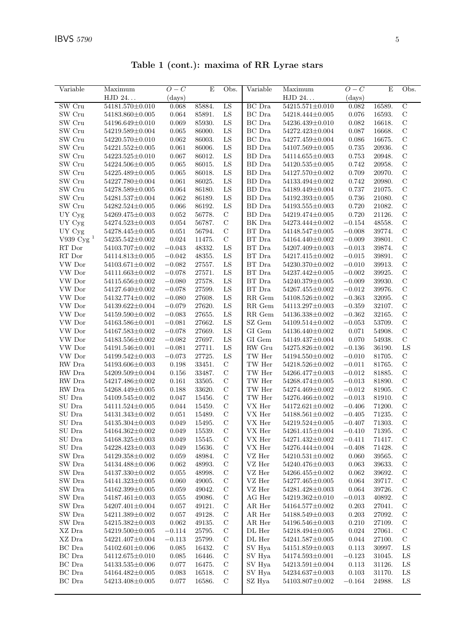| $\overline{\text{Variable}}$ | Maximum                            | $O-C$                  | $\mathbf E$      | Obs.          | Variable                       | Maximum                                  | $O-C$                | $\mathbf E$      | Obs.                          |
|------------------------------|------------------------------------|------------------------|------------------|---------------|--------------------------------|------------------------------------------|----------------------|------------------|-------------------------------|
|                              | HJD 24                             | (days)                 |                  |               |                                | HJD 24                                   | (days)               |                  |                               |
| SW Cru                       | 54181.570±0.010                    | 0.068                  | 85884.           | LS            | BC Dra                         | $54215.571 \pm 0.010$                    | 0.082                | 16589.           | $\overline{C}$                |
| SW Cru                       | 54183.860±0.005                    | 0.064                  | 85891.           | ${\rm LS}$    | $\operatorname{BC}$ Dra        | 54218.444±0.005                          | 0.076                | 16593.           | $\mathbf C$                   |
| SW Cru                       | 54196.649±0.010                    | 0.069                  | 85930.           | ${\rm LS}$    | $\operatorname{BC}$ Dra        | 54236.439±0.010                          | 0.082                | 16618.           | $\mathbf C$                   |
| SW Cru                       | 54219.589±0.004                    | 0.065                  | 86000.           | LS            | BC Dra                         | 54272.423±0.004                          | 0.087                | 16668.           | $\mathcal C$                  |
| SW Cru                       | 54220.570±0.010                    | 0.062                  | 86003.           | LS            | BC Dra                         | $54277.459 \pm 0.004$                    | 0.086                | 16675.           | $\mathcal{C}$                 |
| SW Cru                       | $54221.552 \pm 0.005$              | 0.061                  | 86006.           | LS            | BD Dra                         | 54107.569±0.005                          | 0.735                | 20936.           | $\mathcal C$                  |
| SW Cru                       | 54223.525±0.010                    | 0.067                  | 86012.           | LS            | BD Dra                         | $54114.655 \pm 0.003$                    | 0.753                | 20948.           | $\mathcal C$                  |
| SW Cru                       | 54224.506±0.005                    | 0.065                  | 86015.           | LS            | BD Dra                         | $54120.535 \pm 0.005$                    | 0.742                | 20958.           | $\mathcal C$                  |
| SW Cru                       | 54225.489±0.005                    | 0.065                  | 86018.           | LS            | BD Dra                         | 54127.570±0.002                          | 0.709                | 20970.           | $\mathbf C$                   |
| SW Cru                       | $54227.780{\pm}0.004$              | 0.061                  | 86025.           | LS            | BD Dra                         | 54133.494±0.002                          | 0.742                | 20980.           | $\mathbf C$                   |
| SW Cru                       | $54278.589 \pm 0.005$              | 0.064                  | 86180.           | LS            | BD Dra                         | 54189.449±0.004                          | 0.737                | 21075.           | $\mathcal C$                  |
| SW Cru                       | 54281.537±0.004                    | 0.062                  | 86189.           | LS            | BD Dra                         | 54192.393±0.005                          | 0.736                | 21080.           | $\mathbf C$                   |
| SW Cru                       | $54282.524 \pm 0.005$              | 0.066                  | 86192.           | LS            | BD Dra                         | $54193.555 \pm 0.003$                    | 0.720                | 21082.           | $\mathbf C$                   |
| UY Cyg                       | 54269.475±0.003                    | 0.052                  | 56778.           | $\mathbf C$   | BD Dra                         | 54219.474±0.005                          | 0.720                | 21126.           | $\mathcal{C}$                 |
| UY Cyg                       | 54274.523±0.003                    | 0.054                  | 56787.           | $\mathbf C$   | BK Dra                         | 54273.444±0.002                          | $-0.154$             | 48558.           | $\mathbf C$                   |
| UY Cyg                       | 54278.445±0.005                    | 0.051                  | 56794.           | $\mathbf C$   | BT Dra                         | $54148.547 \pm 0.005$                    | $-0.008$             | 39774.           | $\mathcal C$                  |
| V939 $Cyg$ <sup>1</sup>      | $54235.542 \pm 0.002$              | 0.024                  | 11475.           | $\mathbf C$   | BT Dra                         | 54164.440±0.002                          | $-0.009$             | 39801.           | $\mathcal C$                  |
| RT Dor                       | 54103.707±0.002                    | $-0.043$               | 48332.           | LS            | BT Dra                         | 54207.409±0.003                          | $-0.013$             | 39874.           | $\mathbf C$                   |
| RT Dor                       | 54114.813±0.005                    | $-0.042$               | 48355.           | LS            | BT Dra                         | 54217.415±0.002                          | $-0.015$             | 39891.           | $\mathcal C$                  |
| VW Dor                       | $54103.671 \pm 0.002$              | $-0.082$               | 27557.           | LS            | BT Dra                         | 54230.370±0.002                          | $-0.010$             | 39913.           | $\mathbf C$                   |
| VW Dor                       | $54111.663{\pm}0.002$              | $-0.078$               | 27571.           | LS            | BT Dra                         | 54237.442±0.005                          | $-0.002$             | 39925.           | $\mathbf C$                   |
| VW Dor                       | 54115.656±0.002                    | $-0.080$               | 27578.           | LS            | BT Dra                         | 54240.379±0.005                          | $-0.009$             | 39930.<br>39976. | $\mathcal{C}$<br>$\mathcal C$ |
| VW Dor<br>VW Dor             | 54127.640±0.002<br>54132.774±0.002 | $-0.078$<br>$-0.080\,$ | 27599.<br>27608. | LS<br>LS      | BT Dra<br>RR Gem               | 54267.455±0.002<br>$54108.526 \pm 0.002$ | $-0.012$<br>$-0.363$ |                  | $\mathbf C$                   |
| VW Dor                       | 54139.622±0.004                    | $-0.079$               | 27620.           | ${\rm LS}$    | $\ensuremath{\mathsf{RR}}$ Gem | $54113.297{\pm}0.003$                    | $-0.359$             | 32095.<br>32107. | $\mathcal{C}$                 |
| VW Dor                       | 54159.590±0.002                    | $-0.083$               | 27655.           | LS            | RR Gem                         | $54136.338{\pm}0.002$                    | $-0.362$             | 32165.           | $\mathbf C$                   |
| VW Dor                       | 54163.586±0.001                    | $-0.081$               | 27662.           | LS            | SZ Gem                         | 54109.514±0.002                          | $-0.053$             | 53709.           | $\mathbf C$                   |
| VW Dor                       | $54167.583 \pm 0.002$              | $-0.078$               | 27669.           | LS            | GI Gem                         | 54136.440±0.002                          | 0.071                | 54908.           | $\mathbf C$                   |
| VW Dor                       | 54183.556±0.002                    | $-0.082$               | 27697.           | LS            | GI Gem                         | 54149.437±0.004                          | 0.070                | 54938.           | $\mathbf C$                   |
| VW Dor                       | 54191.546±0.001                    | $-0.081$               | 27711.           | LS            | RW Gru                         | $54275.826 \pm 0.002$                    | $-0.136$             | 36190.           | LS                            |
| VW Dor                       | 54199.542±0.003                    | $-0.073$               | 27725.           | LS            | $\operatorname{TW}$ Her        | 54194.550±0.002                          | $-0.010$             | 81705.           | $\mathbf C$                   |
| ${\rm RW}$ Dra               | 54193.606±0.003                    | 0.198                  | 33451.           | $\mathbf C$   | TW Her                         | 54218.526±0.002                          | $-0.011$             | 81765.           | $\mathbf C$                   |
| RW Dra                       | $54209.509{\pm}0.004$              | 0.156                  | 33487.           | $\mathbf C$   | TW Her                         | $54266.477 \pm 0.003$                    | $-0.012$             | 81885.           | $\mathbf C$                   |
| RW Dra                       | 54217.486±0.002                    | 0.161                  | 33505.           | $\mathcal{C}$ | TW Her                         | 54268.474±0.005                          | $-0.013$             | 81890.           | $\mathcal C$                  |
| ${\rm RW}$ Dra               | 54268.449±0.005                    | 0.188                  | 33620.           | $\mathcal{C}$ | TW Her                         | 54274.469±0.002                          | $-0.012$             | 81905.           | $\mathbf C$                   |
| $\rm SU~Dra$                 | $54109.545{\pm}0.002$              | $0.047\,$              | 15456.           | $\mathcal{C}$ | TW Her                         | 54276.466±0.002                          | $-0.013$             | 81910.           | $\mathbf C$                   |
| $\rm SU~Dra$                 | $54111.524 \pm 0.005$              | 0.044                  | 15459.           | $\mathcal{C}$ | VX Her                         | $54172.621 \pm 0.002$                    | $-0.406$             | 71200.           | $\mathbf C$                   |
| SU Dra                       | 54131.343±0.002                    | 0.051                  | 15489.           | $\mathbf C$   | VX Her                         | $54188.561 \pm 0.002$                    | $-0.405$             | 71235.           | $\mathbf C$                   |
| SU Dra                       | $54135.304{\pm}0.003$              | $0.049\,$              | 15495.           | $\mathcal{C}$ | VX Her                         | $54219.524\pm0.005$                      | $-0.407$             | 71303.           | $\mathcal{C}$                 |
| SU Dra                       | 54164.362±0.002                    | 0.049                  | 15539.           | $\mathcal{C}$ | VX Her                         | 54261.415±0.004                          | $-0.410$             | 71395.           | $\mathcal{C}$                 |
| SU Dra                       | 54168.325±0.003                    | 0.049                  | 15545.           | $\mathbf C$   | VX Her                         | 54271.432±0.002                          | $-0.411$             | 71417.           | $\mathcal{C}$                 |
| $\rm SU~Dra$                 | 54228.423±0.003                    | 0.049                  | 15636.           | $\mathcal{C}$ | VX Her                         | 54276.444±0.004                          | $-0.408$             | 71428.           | $\mathcal{C}$                 |
| $\rm SW$ Dra                 | 54129.358±0.002                    | 0.059                  | 48984.           | $\mathbf C$   | VZ Her                         | $54210.531{\pm}0.002$                    | 0.060                | 39565.           | $\mathcal C$                  |
| SW Dra                       | 54134.488±0.006                    | 0.062                  | 48993.           | $\mathbf C$   | VZ Her                         | 54240.476±0.003                          | 0.063                | 39633.           | $\mathbf C$                   |
| SW Dra                       | 54137.330±0.002                    | 0.055                  | 48998.           | $\mathcal{C}$ | VZ Her                         | 54266.455±0.002                          | 0.062                | 39692.           | $\mathcal{C}$                 |
| SW Dra                       | 54141.323±0.005                    | 0.060                  | 49005.           | $\mathcal{C}$ | VZ Her                         | 54277.465±0.005                          | 0.064                | 39717.           | $\mathcal{C}$                 |
| SW Dra                       | 54162.399±0.005                    | 0.059                  | 49042.           | $\mathbf C$   | VZ Her                         | 54281.428±0.003                          | 0.064                | 39726.           | $\mathcal{C}$                 |
| SW Dra                       | 54187.461±0.003                    | 0.055                  | 49086.           | $\mathcal{C}$ | AG Her                         | 54219.362±0.010                          | $-0.013$             | 40892.           | $\mathcal{C}$                 |
| SW Dra                       | 54207.401±0.004                    | 0.057                  | 49121.           | $\mathbf C$   | AR Her                         | $54164.577 \pm 0.002$                    | 0.203                | 27041.           | $\mathcal{C}$                 |
| SW Dra                       | 54211.389±0.002                    | 0.057                  | 49128.           | $\mathbf C$   | AR Her                         | 54188.549±0.003                          | 0.203                | 27092.           | $\mathcal{C}$                 |
| SW Dra                       | 54215.382±0.003                    | 0.062                  | 49135.           | $\mathcal{C}$ | AR Her                         | 54196.546±0.003                          | 0.210                | 27109.           | $\mathcal{C}$                 |
| XZ Dra                       | 54219.500 $\pm$ 0.005              | $-0.114$               | 25795.           | $\mathcal{C}$ | DL Her                         | 54218.494±0.005                          | 0.024                | 27061.           | $\mathbf C$                   |
| XZ Dra                       | 54221.407±0.004                    | $-0.113$               | 25799.           | $\mathbf C$   | DL Her                         | $54241.587{\pm}0.005$                    | 0.044                | 27100.           | $\mathcal{C}$                 |
| BC Dra                       | $54102.601 \pm 0.006$              | 0.085                  | 16432.           | $\mathbf C$   | SV Hya                         | 54151.859±0.003                          | 0.113                | 30997.           | LS                            |
| $\rm BC~Dra$                 | 54112.675±0.010                    | 0.085                  | 16446.           | $\mathbf C$   | SV Hya                         | $54174.593\pm0.001$                      | $-0.123$             | 31045.           | LS                            |
| BC Dra                       | 54133.535±0.006                    | 0.077                  | 16475.           | $\mathcal{C}$ | SV Hya                         | $54213.591 \pm 0.004$                    | 0.113                | 31126.           | LS                            |
| BC Dra                       | 54164.482±0.005                    | 0.083                  | 16518.           | $\mathcal{C}$ | SV Hya                         | 54234.637±0.003                          | 0.103                | 31170.           | LS                            |
| BC Dra                       | 54213.408±0.005                    | 0.077                  | 16586.           | $\mathcal{C}$ | SZ Hya                         | 54103.807±0.002                          | $-0.164$             | 24988.           | LS                            |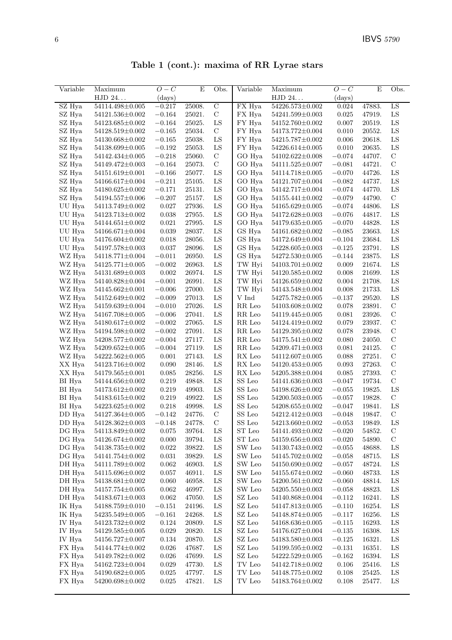Table 1 (cont.): maxima of RR Lyrae stars

| Variable         | Maximum                                  | $O-C$          | $\overline{E}$   | Obs.              | Variable                 | Maximum                                  | $O-C$                | E                | Obs.                |
|------------------|------------------------------------------|----------------|------------------|-------------------|--------------------------|------------------------------------------|----------------------|------------------|---------------------|
|                  | HJD 24                                   | (days)         |                  |                   |                          | HJD 24                                   | $\rm (days)$         |                  |                     |
| SZ Hya           | 54114.498±0.005                          | $-0.217$       | 25008.           | $\mathcal{C}$     | FX Hya                   | 54226.573±0.002                          | 0.024                | 47883.           | LS                  |
| SZ Hya           | 54121.536±0.002                          | $-0.164$       | 25021.           | $\mathbf C$       | FX Hya                   | 54241.599±0.003                          | 0.025                | 47919.           | ${\rm LS}$          |
| SZ Hya           | 54123.685±0.002                          | $-0.164$       | 25025.           | ${\rm LS}$        | FY Hya                   | 54152.760±0.002                          | 0.007                | 20519.           | LS                  |
| SZ Hya           | 54128.519±0.002                          | $-0.165$       | 25034.           | $\mathbf C$       | ${\rm FY}$ Hya           | 54173.772 $\pm$ 0.004                    | 0.010                | 20552.           | LS                  |
| SZ Hya           | 54130.668±0.002                          | $-0.165$       | 25038.           | LS                | FY Hya                   | 54215.787±0.002                          | 0.006                | 20618.           | ${\rm LS}$          |
| SZ Hya           | 54138.699±0.005                          | $-0.192$       | 25053.           | ${\rm LS}$        | ${\rm FY}$ Hya           | $54226.614 \pm 0.005$                    | 0.010                | 20635.           | LS                  |
| SZ Hya           | $54142.434\pm0.005$                      | $-0.218$       | 25060.           | $\mathbf C$       | GO Hya                   | $54102.622 \pm 0.008$                    | $-0.074$             | 44707.           | $\mathcal{C}$       |
| SZ Hya           | 54149.472±0.003                          | $-0.164$       | 25073.           | $\mathbf C$       | GO Hya                   | $54111.525 \pm 0.007$                    | $-0.081$             | 44721.           | $\mathbf C$         |
| SZ Hya           | 54151.619±0.001                          | $-0.166$       | 25077.           | ${\rm LS}$        | GO Hya                   | 54114.718±0.005                          | $-0.070$             | 44726.           | LS                  |
| SZ Hya           | $54166.617 \pm 0.004$                    | $-0.211$       | 25105.           | ${\rm LS}$        | GO Hya                   | $54121.707{\pm}0.004$                    | $-0.082$             | 44737.           | ${\rm LS}$          |
| SZ Hya           | $54180.625 \pm 0.002$                    | $-0.171$       | 25131.           | LS                | GO Hya                   | 54142.717±0.004                          | $-0.074$             | 44770.           | ${\rm LS}$          |
| SZ Hya           | 54194.557±0.006                          | $-0.207$       | 25157.           | ${\rm LS}$        | GO Hya                   | $54155.441 \pm 0.002$                    | $-0.079$             | 44790.           | $\mathcal{C}$       |
| UU Hya           | 54113.749±0.002                          | $0.027\,$      | 27936.           | ${\rm LS}$        | GO Hya                   | $54165.629 \pm 0.005$                    | $-0.074$             | 44806.           | $_{\rm LS}$         |
| UU Hya           | 54123.713±0.002                          | 0.038          | 27955.           | ${\rm LS}$        | GO Hya                   | 54172.628±0.003                          | $-0.076$             | 44817.           | LS                  |
| UU Hya           | $54144.651 \pm 0.002$                    | 0.021          | 27995.           | ${\rm LS}$        | GO Hya                   | 54179.635±0.005                          | $-0.070$             | 44828.           | LS                  |
| UU Hya           | $54166.671 \pm 0.004$                    | 0.039          | 28037.           | ${\rm LS}$        | GS Hya                   | 54161.682±0.002                          | $-0.085$             | 23663.           | $_{\rm LS}$         |
| UU Hya           | $54176.604 \pm 0.002$                    | 0.018          | 28056.           | LS                | GS Hya                   | 54172.649±0.004                          | $-0.104$             | 23684.           | LS                  |
| UU Hya           | 54197.578±0.003                          | 0.037          | 28096.           | LS                | GS Hya                   | $54228.605 \pm 0.003$                    | $-0.125$             | 23791.           | $_{\rm LS}$         |
| WZ Hya           | $54118.771 \pm 0.004$                    | $-0.011$       | 26950.           | LS                | GS Hya                   | $54272.530 \pm 0.005$                    | $-0.144$             | 23875.           | ${\rm LS}$          |
| WZ Hya           | $54125.771 \pm 0.005$                    | $-0.002$       | 26963.           | LS                | TW Hyi                   | $54103.701 \pm 0.002$                    | 0.009                | 21674.           | LS                  |
| WZ Hya           | $54131.689\pm0.003$                      | 0.002          | 26974.           | ${\rm LS}$        | TW Hyi                   | 54120.585±0.002                          | 0.008                | 21699.           | LS                  |
| WZ Hya           | 54140.828±0.004                          | $-0.001$       | 26991.           | LS                | TW Hyi                   | $54126.659 \pm 0.002$                    | 0.004                | 21708.           | LS                  |
| WZ Hya           | $54145.662{\pm}0.001$                    | $-0.006$       | 27000.           | LS                | TW Hyi                   | 54143.548±0.004                          | 0.008                | 21733.           | LS                  |
| WZ Hya           | $54152.649\pm0.002$                      | $-0.009$       | 27013.           | LS                | V Ind                    | $54275.782 \pm 0.005$                    | $-0.137$             | 29520.           | $_{\rm LS}$         |
| WZ Hya           | 54159.639±0.004                          | $-0.010$       | 27026.           | LS                | RR Leo                   | 54103.608±0.002                          | 0.078                | 23891.           | $\mathcal{C}$       |
| WZ Hya           | 54167.708±0.005                          | $-0.006$       | 27041.           | LS                | RR Leo                   | 54119.445±0.005                          | 0.081                | 23926.           | $\mathbf C$         |
| WZ Hya           | $54180.617 \pm 0.002$                    | $-0.002$       | 27065.           | LS                | RR Leo                   | 54124.419±0.002                          | 0.079                | 23937.           | $\mathbf C$         |
| WZ Hya           | 54194.598±0.002                          | $-0.002$       | 27091.           | ${\rm LS}$        | RR Leo                   | $54129.395 \pm 0.002$                    | 0.078                | 23948.           | $\mathcal{C}$       |
| WZ Hya           | $54208.577 \pm 0.002$                    | $-0.004$       | 27117.           | ${\rm LS}$        | RR Leo                   | $54175.541 \pm 0.002$                    | 0.080                | 24050.           | С                   |
| WZ Hya           | $54209.652 \pm 0.005$                    | $-0.004$       | 27119.           | ${\rm LS}$        | RR Leo                   | $54209.471{\pm}0.003$                    | 0.081                | 24125.           | $\mathcal{C}$       |
| WZ Hya           | $54222.562 \pm 0.005$                    | 0.001          | 27143.           | LS                | RX Leo                   | 54112.607±0.005                          | 0.088                | 27251.           | $\mathcal{C}$       |
| XX Hya           | 54123.716±0.002                          | 0.090          | 28146.           | ${\rm LS}$        | RX Leo                   | $54120.453 \pm 0.005$                    | 0.093                | 27263.           | $\mathbf C$         |
| XX Hya           | $54179.565 \pm 0.001$                    | 0.085          | 28256.           | LS                | RX Leo                   | 54205.388±0.004                          | 0.085                | 27393.           | $\mathcal{C}$       |
| BI Hya           | 54144.656±0.002                          | 0.219          | 49848.           | LS                | SS Leo                   | $54141.636 \pm 0.003$                    | $-0.047$             | 19734.           | $\mathcal{C}$       |
| BI Hya           | $54173.612 \pm 0.002$                    | 0.219          | 49903.           | LS                | SS Leo<br>${\rm SS}$ Leo | 54198.626±0.002                          | $-0.055$             | 19825.           | LS                  |
| BI Hya<br>BI Hya | $54183.615 \pm 0.002$<br>54223.625±0.002 | 0.219<br>0.218 | 49922.<br>49998. | $_{\rm LS}$<br>LS | ${\rm SS}$ Leo           | $54200.503{\pm}0.005$<br>54208.655±0.002 | $-0.057$<br>$-0.047$ | 19828.           | $\mathcal{C}$<br>LS |
|                  | 54127.364±0.005                          | $-0.142$       | 24776.           | $\mathbf C$       | $SS$ Leo $\,$            | 54212.412±0.003                          | $-0.048$             | 19841.<br>19847. | $\mathbf C$         |
| DD Hya           | $54128.362{\pm}0.003$                    | $-0.148$       | 24778.           | $\mathbf C$       | ${\rm SS}$ Leo           | $54213.660 \pm 0.002$                    | $-0.053$             | 19849.           | LS                  |
| DD Hya<br>DG Hya | 54113.849±0.002                          | 0.075          | 39764.           | LS                | ST Leo                   | 54141.493±0.002                          | $-0.020$             | 54852.           | $\mathcal{C}$       |
| DG Hya           | $54126.674 \pm 0.002$                    | 0.000          | 39794.           | LS                | ST Leo                   | $54159.656 \pm 0.003$                    | $-0.020$             | 54890.           | $\mathcal{C}$       |
| DG Hya           | 54138.735±0.002                          | 0.022          | 39822.           | LS                | SW Leo                   | 54130.743±0.002                          | $-0.055$             | 48688.           | LS                  |
| DG Hya           | 54141.754±0.002                          | 0.031          | 39829.           | LS                | SW Leo                   | 54145.702±0.002                          | $-0.058$             | 48715.           | LS                  |
| DH Hya           | 54111.789±0.002                          | 0.062          | 46903.           | LS                | SW Leo                   | 54150.690±0.002                          | $-0.057$             | 48724.           | LS                  |
| DH Hya           | 54115.696±0.002                          | 0.057          | 46911.           | ${\rm LS}$        | SW Leo                   | $54155.674 \pm 0.002$                    | $-0.060$             | 48733.           | LS                  |
| DH Hya           | $54138.681 \pm 0.002$                    | 0.060          | 46958.           | LS                | SW Leo                   | $54200.561 \pm 0.002$                    | $-0.060$             | 48814.           | LS                  |
| DH Hya           | 54157.754 $\pm$ 0.005                    | 0.062          | 46997.           | ${\rm LS}$        | SW Leo                   | 54205.550±0.003                          | $-0.058$             | 48823.           | $_{\rm LS}$         |
| DH Hya           | $54183.671 \pm 0.003$                    | 0.062          | 47050.           | LS                | $\operatorname{SZ}$ Leo  | 54140.868±0.004                          | $-0.112$             | 16241.           | $_{\rm LS}$         |
| IK Hya           | 54188.759±0.010                          | $-0.151$       | 24196.           | LS                | SZ Leo                   | 54147.813±0.005                          | $-0.110$             | 16254.           | LS                  |
| IK Hya           | $54235.549 \pm 0.005$                    | $-0.161$       | 24268.           | LS                | SZ Leo                   | 54148.874±0.005                          | $-0.117$             | 16256.           | LS                  |
| IV Hya           | $54123.732 \pm 0.002$                    | 0.124          | 20809.           | LS                | SZ Leo                   | $54168.636 \pm 0.005$                    | $-0.115$             | 16293.           | LS                  |
| IV Hya           | 54129.585±0.005                          | 0.029          | 20820.           | LS                | SZ Leo                   | $54176.627 \pm 0.004$                    | $-0.135$             | 16308.           | LS                  |
| IV Hya           | $54156.727 \pm 0.007$                    | 0.134          | 20870.           | LS                | SZ Leo                   | 54183.580±0.003                          | $-0.125$             | 16321.           | LS                  |
| FX Hya           | 54144.774±0.002                          | 0.026          | 47687.           | LS                | $\operatorname{SZ}$ Leo  | 54199.595±0.002                          | $-0.131$             | 16351.           | LS                  |
| FX Hya           | 54149.782±0.002                          | 0.026          | 47699.           | LS                | SZ Leo                   | 54222.529±0.005                          | $-0.162$             | 16394.           | LS                  |
| FX Hya           | 54162.723±0.004                          | 0.029          | 47730.           | LS                | TV Leo                   | 54142.718±0.002                          | 0.106                | 25416.           | LS                  |
| FX Hya           | $54190.682 \pm 0.005$                    | 0.025          | 47797.           | LS                | TV Leo                   | 54148.775±0.002                          | 0.108                | 25425.           | LS                  |
| FX Hya           | 54200.698±0.002                          | 0.025          | 47821.           | LS                | $\operatorname{TV}$ Leo  | 54183.764±0.002                          | 0.108                | 25477.           | LS                  |
|                  |                                          |                |                  |                   |                          |                                          |                      |                  |                     |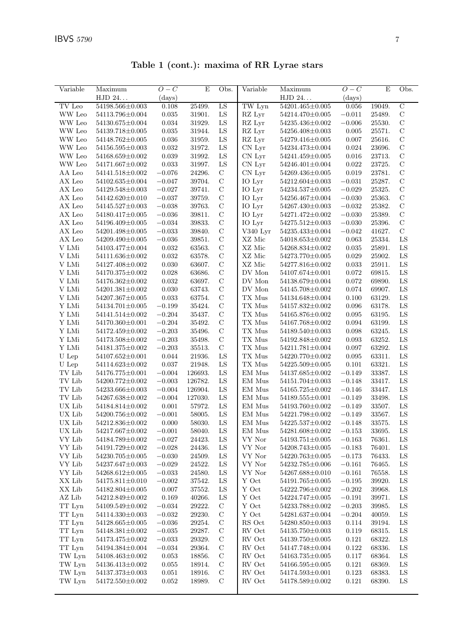Table 1 (cont.): maxima of RR Lyrae stars

| Variable        | Maximum               | $O-C$    | $\mathbf E$ | Obs.          | $\overline{\text{Variable}}$ | Maximum               | $O-C$    | $\mathbf E$ | Obs.           |
|-----------------|-----------------------|----------|-------------|---------------|------------------------------|-----------------------|----------|-------------|----------------|
|                 | HJD 24                | (days)   |             |               |                              | HJD 24                | (days)   |             |                |
| TV Leo          | 54198.566±0.003       | 0.108    | 25499.      | LS            | TW Lyn                       | $54201.465 \pm 0.005$ | 0.056    | 19049.      | $\overline{C}$ |
| WW Leo          | 54113.796±0.004       | 0.035    | 31901.      | LS            | RZ Lyr                       | 54214.470±0.005       | $-0.011$ | 25489.      | $\mathbf C$    |
| WW Leo          | 54130.675±0.004       | 0.034    | 31929.      | ${\rm LS}$    | RZ Lyr                       | 54235.436±0.002       | $-0.006$ | 25530.      | $\mathbf C$    |
| WW Leo          | 54139.718±0.005       | 0.035    | 31944.      | ${\rm LS}$    | RZ Lyr                       | 54256.408±0.003       | 0.005    | 25571.      | $\mathbf C$    |
| WW Leo          | 54148.762±0.005       | 0.036    | 31959.      | ${\rm LS}$    | RZ Lyr                       | 54279.416±0.005       | 0.007    | 25616.      | $\mathbf C$    |
| WW Leo          | 54156.595±0.003       | 0.032    | 31972.      | ${\rm LS}$    | CN Lyr                       | 54234.473±0.004       | 0.024    | 23696.      | $\mathbf C$    |
| WW Leo          | 54168.659±0.002       | 0.039    | 31992.      | ${\rm LS}$    | CN Lyr                       | 54241.459±0.005       | 0.016    | 23713.      | $\mathbf C$    |
| WW Leo          | 54171.667±0.002       | 0.033    | 31997.      | ${\rm LS}$    | CN Lyr                       | $54246.401 \pm 0.004$ | 0.022    | 23725.      | $\mathbf C$    |
| AA Leo          | 54141.518±0.002       | $-0.076$ | 24296.      | $\mathbf C$   | CN Lyr                       | 54269.436±0.005       | 0.019    | 23781.      | $\mathcal{C}$  |
| AX Leo          | 54102.635±0.004       | $-0.047$ | 39704.      | $\mathcal{C}$ | IO Lyr                       | $54212.604 \pm 0.003$ | $-0.031$ | 25287.      | $\mathcal{C}$  |
| AX Leo          | 54129.548±0.003       | $-0.027$ | 39741.      | $\mathbf C$   | IO Lyr                       | $54234.537 \pm 0.005$ | $-0.029$ | 25325.      | $\mathbf C$    |
| AX Leo          | $54142.620 \pm 0.010$ | $-0.037$ | 39759.      | $\mathbf C$   | IO Lyr                       | 54256.467±0.004       | $-0.030$ | 25363.      | $\mathbf C$    |
| ${\rm AX}$ Leo  | $54145.527 \pm 0.003$ | $-0.038$ | 39763.      | $\mathbf C$   | IO Lyr                       | 54267.430±0.003       | $-0.032$ | 25382.      | $\mathbf C$    |
| ${\rm AX}$ Leo  | 54180.417±0.005       | $-0.036$ | 39811.      | $\mathbf C$   | IO Lyr                       | 54271.472±0.002       | $-0.030$ | 25389.      | $\mathbf C$    |
| AX Leo          | 54196.409±0.005       | $-0.034$ | 39833.      | $\mathbf C$   | IO Lyr                       | $54275.512 \pm 0.003$ | $-0.030$ | 25396.      | $\mathbf C$    |
| AX Leo          | 54201.498±0.005       | $-0.033$ | 39840.      | $\mathbf C$   | V340 Lyr                     | 54235.433±0.004       | $-0.042$ | 41627.      | $\mathbf C$    |
| AX Leo          | 54209.490±0.005       | $-0.036$ | 39851.      | $\mathbf C$   | XZ Mic                       | $54018.653\pm0.002$   | 0.063    | 25334.      | LS             |
| V LMi           | 54103.477±0.004       | 0.032    | 63563.      | $\mathbf C$   | $\rm XZ$ Mic                 | 54268.834±0.002       | 0.035    | 25891.      | ${\rm LS}$     |
| V LMi           | 54111.636±0.002       | 0.032    | 63578.      | $\mathbf C$   | XZ Mic                       | 54273.770±0.005       | 0.029    | 25902.      | LS             |
| V LMi           | 54127.408±0.002       | 0.030    | 63607.      | $\mathbf C$   | XZ Mic                       | 54277.816±0.002       | 0.033    | 25911.      | LS             |
| $\rm{V}$ LMi    | 54170.375±0.002       | 0.028    | 63686.      | $\mathbf C$   | $\operatorname{DV}$ Mon      | 54107.674±0.001       | 0.072    | 69815.      | LS             |
| V LMi           | 54176.362±0.002       | 0.032    | 63697.      | $\mathbf C$   | DV Mon                       | 54138.679±0.004       | 0.072    | 69890.      | ${\rm LS}$     |
| V LMi           | 54201.381±0.002       | 0.030    | 63743.      | $\mathbf C$   | DV Mon                       | 54145.708±0.002       | 0.074    | 69907.      | LS             |
| V LMi           | 54207.367±0.005       | 0.033    | 63754.      | $\mathbf C$   | TX Mus                       | 54134.648±0.004       | 0.100    | 63129.      | LS             |
| Y LMi           | $54134.701 \pm 0.005$ | $-0.199$ | 35424.      | $\mathbf C$   | ${\rm TX}$ Mus               | $54157.832 \pm 0.002$ | 0.096    | 63178.      | LS             |
| Y LMi           | 54141.514±0.002       | $-0.204$ | 35437.      | $\mathbf C$   | $\mathcal{T}\mathcal{X}$ Mus | 54165.876±0.002       | 0.095    | 63195.      | LS             |
| $\mathbf Y$ LMi | 54170.360 $\pm$ 0.001 | $-0.204$ | 35492.      | $\mathbf C$   | TX Mus                       | 54167.768±0.002       | 0.094    | 63199.      | LS             |
| Y LMi           | 54172.459±0.002       | $-0.203$ | 35496.      | $\mathbf C$   | TX Mus                       | 54189.540±0.003       | 0.098    | 63245.      | LS             |
| Y LMi           | 54173.508±0.002       | $-0.203$ | 35498.      | $\mathbf C$   | $\mathcal{T}\mathcal{X}$ Mus | 54192.848±0.002       | 0.093    | 63252.      | LS             |
| Y LMi           | 54181.375±0.002       | $-0.203$ | 35513.      | $\mathbf C$   | TX Mus                       | $54211.781 \pm 0.004$ | 0.097    | 63292.      | LS             |
| U Lep           | $54107.652 \pm 0.001$ | 0.044    | 21936.      | LS            | $\mathcal{T}\mathcal{X}$ Mus | 54220.770±0.002       | 0.095    | 63311.      | LS             |
| ${\cal U}$ Lep  | 54114.623±0.002       | 0.037    | 21948.      | ${\rm LS}$    | TX Mus                       | 54225.509±0.005       | 0.101    | 63321.      | LS             |
| TV Lib          | 54176.775±0.001       | $-0.004$ | 126693.     | LS            | EM Mus                       | 54137.685±0.002       | $-0.149$ | 33387.      | LS             |
| TV Lib          | 54200.772±0.002       | $-0.003$ | 126782.     | ${\rm LS}$    | EM Mus                       | $54151.704 \pm 0.003$ | $-0.148$ | 33417.      | ${\rm LS}$     |
| TV Lib          | 54233.666±0.003       | $-0.004$ | 126904.     | LS            | EM Mus                       | $54165.725 \pm 0.002$ | $-0.146$ | 33447.      | LS             |
| TV Lib          | 54267.638±0.002       | $-0.004$ | 127030.     | LS            | EM Mus                       | 54189.555±0.001       | $-0.149$ | 33498.      | LS             |
| UX Lib          | 54184.814±0.002       | 0.001    | 57972.      | LS            | $\rm EM~Mus$                 | 54193.760±0.002       | $-0.149$ | 33507.      | LS             |
| UX Lib          | 54200.756±0.002       | $-0.001$ | 58005.      | ${\rm LS}$    | EM Mus                       | 54221.798±0.002       | $-0.149$ | 33567.      | LS             |
| UX Lib          | $54212.836{\pm}0.002$ | 0.000    | 58030.      | ${\rm LS}$    | EM Mus                       | $54225.537{\pm}0.002$ | $-0.148$ | 33575.      | LS             |
| UX Lib          | 54217.667±0.002       | $-0.001$ | 58040.      | LS            | EM Mus                       | 54281.608±0.002       | $-0.153$ | 33695.      | LS             |
| VY Lib          | 54184.789±0.002       | $-0.027$ | 24423.      | LS            | VY Nor                       | $54193.751 \pm 0.005$ | $-0.163$ | 76361.      | LS             |
| VY Lib          | 54191.729±0.002       | $-0.028$ | 24436.      | LS            | ${\rm VY}$ Nor               | 54208.743±0.005       | $-0.183$ | 76401.      | LS             |
| VY Lib          | 54230.705±0.005       | $-0.030$ | 24509.      | LS            | VY Nor                       | $54220.763 \pm 0.005$ | $-0.173$ | 76433.      | LS             |
| VY Lib          | 54237.647±0.003       | $-0.029$ | 24522.      | LS            | VY Nor                       | 54232.785±0.006       | $-0.161$ | 76465.      | LS             |
| VY Lib          | 54268.612±0.005       | $-0.033$ | 24580.      | LS            | VY Nor                       | $54267.688 \pm 0.010$ | $-0.161$ | 76558.      | LS             |
| XX Lib          | $54175.811 \pm 0.010$ | $-0.002$ | 37542.      | $_{\rm LS}$   | Y Oct                        | $54191.765 \pm 0.005$ | $-0.195$ | 39920.      | LS             |
| XX Lib          | 54182.804±0.005       | 0.007    | 37552.      | LS            | Y Oct                        | 54222.796±0.002       | $-0.202$ | 39968.      | LS             |
| AZ Lib          | 54212.849±0.002       | 0.169    | 40266.      | LS            | Y Oct                        | 54224.747±0.005       | $-0.191$ | 39971.      | LS             |
| TT Lyn          | 54109.549±0.002       | $-0.034$ | 29222.      | $\mathcal{C}$ | Y Oct                        | 54233.788±0.002       | $-0.203$ | 39985.      | LS             |
| TT Lyn          | 54114.330 $\pm$ 0.003 | $-0.032$ | 29230.      | $\mathcal{C}$ | Y Oct                        | 54281.637±0.004       | $-0.204$ | 40059.      | LS             |
| TT Lyn          | 54128.665±0.005       | $-0.036$ | 29254.      | C             | RS Oct                       | 54280.850±0.003       | 0.114    | 39194.      | LS             |
| TT Lyn          | $54148.381 \pm 0.002$ | $-0.035$ | 29287.      | $\mathcal{C}$ | RV Oct                       | 54135.750 $\pm$ 0.003 | 0.119    | 68315.      | LS             |
| TT Lyn          | 54173.475±0.002       | $-0.033$ | 29329.      | $\mathbf C$   | ${\rm RV}$ Oct               | 54139.750 $\pm$ 0.005 | 0.121    | 68322.      | LS             |
| TT Lyn          | 54194.384±0.004       | $-0.034$ | 29364.      | $\mathbf C$   | ${\rm RV}$ Oct               | 54147.748±0.004       | 0.122    | 68336.      | LS             |
| TW Lyn          | 54108.463±0.002       | 0.053    | 18856.      | $\mathcal{C}$ | ${\rm RV}$ Oct               | $54163.735 \pm 0.005$ | 0.117    | 68364.      | LS             |
| TW Lyn          | 54136.413±0.002       | 0.055    | 18914.      | $\mathcal{C}$ | RV Oct                       | 54166.595±0.005       | 0.121    | 68369.      | LS             |
| TW Lyn          | 54137.373±0.003       | 0.051    | 18916.      | $\mathcal{C}$ | RV Oct                       | 54174.593±0.001       | 0.123    | 68383.      | LS             |
| TW Lyn          | $54172.550 \pm 0.002$ | 0.052    | 18989.      | $\mathcal{C}$ | RV Oct                       | $54178.589 \pm 0.002$ | 0.121    | 68390.      | LS             |
|                 |                       |          |             |               |                              |                       |          |             |                |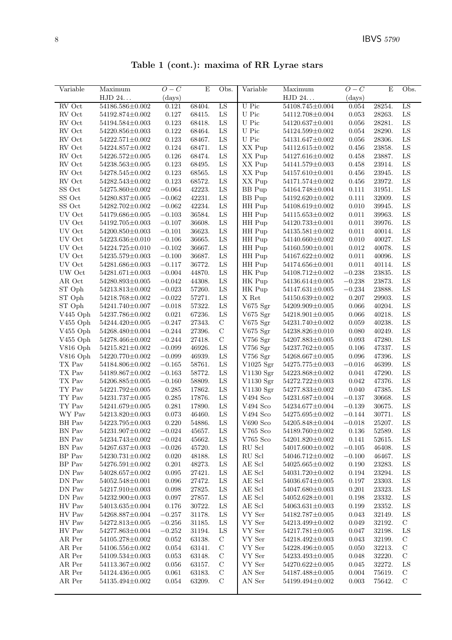Table 1 (cont.): maxima of RR Lyrae stars

| Variable                                                     | Maximum                                  | $O-C$                | E                | Obs.          | Variable              | Maximum                            | $O-C$          | E                | Obs.          |
|--------------------------------------------------------------|------------------------------------------|----------------------|------------------|---------------|-----------------------|------------------------------------|----------------|------------------|---------------|
|                                                              | HJD 24                                   | (days)               |                  |               |                       | HJD 24                             | $\rm (days)$   |                  |               |
| RV Oct                                                       | 54186.586±0.002                          | 0.121                | 68404.           | LS            | U Pic                 | 54108.745±0.004                    | 0.054          | 28254.           | LS            |
| RV Oct                                                       | 54192.874±0.002                          | 0.127                | 68415.           | LS            | U Pic                 | 54112.708±0.004                    | 0.053          | 28263.           | LS            |
| RV Oct                                                       | 54194.584±0.003                          | 0.123                | 68418.           | LS            | U Pic                 | $54120.637 \pm 0.001$              | 0.056          | 28281.           | LS            |
| ${\rm RV}$ Oct                                               | 54220.856±0.003                          | 0.122                | 68464.           | LS            | U Pic                 | 54124.599±0.002                    | 0.054          | 28290.           | LS            |
| ${\rm RV}$ Oct                                               | $54222.571 \pm 0.002$                    | 0.123                | 68467.           | LS            | U Pic                 | 54131.647±0.002                    | 0.056          | 28306.           | ${\rm LS}$    |
| RV Oct                                                       | 54224.857±0.002                          | 0.124                | 68471.           | LS            | XX Pup                | 54112.615±0.002                    | 0.456          | 23858.           | LS            |
| ${\rm RV}$ Oct                                               | 54226.572±0.005                          | 0.126                | 68474.           | LS            | XX Pup                | 54127.616±0.002                    | 0.458          | 23887.           | LS            |
| ${\rm RV}$ Oct                                               | 54238.563±0.005                          | 0.123                | 68495.           | LS            | XX Pup                | 54141.579±0.003                    | 0.458          | 23914.           | ${\rm LS}$    |
| RV Oct                                                       | 54278.545±0.002                          | 0.123                | 68565.           | LS            | XX Pup                | 54157.610±0.001                    | 0.456          | 23945.           | ${\rm LS}$    |
| RV Oct                                                       | 54282.543±0.002                          | 0.123                | 68572.           | LS            | XX Pup                | 54171.574±0.002                    | 0.456          | 23972.           | ${\rm LS}$    |
| SS Oct                                                       | 54275.860±0.002                          | $-0.064$             | 42223.           | LS            | <b>BB</b> Pup         | 54164.748±0.004                    | 0.111          | 31951.           | ${\rm LS}$    |
| SS Oct                                                       | 54280.837±0.005                          | $-0.062$             | 42231.           | LS            | <b>BB</b> Pup         | 54192.620±0.002                    | 0.111          | 32009.           | LS            |
| SS Oct                                                       | 54282.702±0.002                          | $-0.062$             | 42234.           | LS            | HH Pup                | 54108.619±0.002                    | 0.010          | 39945.           | LS            |
| UV Oct                                                       | 54179.686±0.005                          | $-0.103$             | 36584.           | ${\rm LS}$    | HH Pup                | 54115.653±0.002                    | 0.011          | 39963.           | ${\rm LS}$    |
| UV Oct                                                       | 54192.705±0.003                          | $-0.107$             | 36608.           | LS            | HH Pup                | 54120.733±0.001                    | 0.011          | 39976.           | ${\rm LS}$    |
| UV Oct                                                       | $54200.850{\pm}0.003$                    | $-0.101$             | 36623.           | LS            | HH Pup                | $54135.581 \pm 0.002$              | 0.011          | 40014.           | ${\rm LS}$    |
| UV Oct                                                       | 54223.636±0.010                          | $-0.106$             | 36665.           | LS            | HH Pup                | 54140.660±0.002                    | 0.010          | 40027.           | ${\rm LS}$    |
| UV Oct                                                       | 54224.725±0.010                          | $-0.102$             | 36667.           | LS            | HH Pup                | 54160.590 $\pm$ 0.001              | 0.012          | 40078.           | LS            |
| UV Oct                                                       | 54235.579±0.003                          | $-0.100$             | 36687.           | LS            | HH Pup                | 54167.622±0.002                    | 0.011          | 40096.           | LS            |
| $\mathop{\rm UV}$ Oct                                        | 54281.686±0.003                          | $-0.117$             | 36772.           | LS            | HH Pup                | $54174.656 \pm 0.001$              | $0.011\,$      | 40114.           | LS            |
| UW Oct                                                       | $54281.671 \pm 0.003$                    | $-0.004$             | 44870.           | LS            | HK Pup                | 54108.712±0.002                    | $-0.238$       | 23835.           | LS            |
| AR Oct                                                       | 54280.893±0.005                          | $-0.042$             | 44308.           | LS            | HK Pup                | 54136.614±0.005                    | $-0.238$       | 23873.           | LS            |
| ST Oph                                                       | 54213.813±0.002                          | $-0.023$             | 57260.           | LS            | HK Pup                | 54147.631±0.005                    | $-0.234$       | 23888.           | ${\rm LS}$    |
| ST Oph                                                       | 54218.768±0.002                          | $-0.022$             | 57271.           | LS            | X Ret                 | 54150.639±0.002                    | 0.207          | 29903.           | LS            |
| ST Oph                                                       | 54241.740±0.007                          | $-0.018$             | 57322.           | LS            | V675 Sgr              | 54209.909±0.005                    | 0.066          | 40204.           | ${\rm LS}$    |
| V445 Oph                                                     | 54237.786±0.002                          | 0.021                | 67236.           | LS            | V675 Sgr              | 54218.901±0.005                    | 0.066          | 40218.           | ${\rm LS}$    |
| V455 Oph                                                     | 54244.420±0.005                          | $-0.247$             | 27343.           | $\mathbf C$   | V675 Sgr              | 54231.740±0.002                    | 0.059          | 40238.           | ${\rm LS}$    |
| $V455$ Oph                                                   | $54268.480 \pm 0.004$                    | $-0.244$             | 27396.           | $\mathcal{C}$ | V675 $\mathrm{Sgr}$   | 54238.826±0.010                    | 0.080          | 40249.           | LS            |
| $V455$ Oph                                                   | 54278.466±0.002                          | $-0.244$             | 27418.           | $\mathbf C$   | $V756$ Sgr            | 54207.883±0.005                    | 0.093          | 47280.           | LS            |
| $V816$ Oph                                                   | 54215.821±0.002                          | $-0.099$             | 46926.           | LS            | $V756$ Sgr            | 54237.762±0.005                    | 0.106          | 47337.           | LS            |
| $V816$ Oph                                                   | 54220.770±0.002                          | $-0.099$             | 46939.           | LS            | $V756$ Sgr            | 54268.667±0.005                    | 0.096          | 47396.           | LS            |
| TX Pav                                                       | 54184.806±0.002                          | $-0.165$             | 58761.           | LS            | V1025 Sgr             | 54275.775±0.003                    | $-0.016$       | 46399.           | LS            |
| $\mathcal{T}\mathcal{X}$ Pav<br>$\mathcal{T}\mathcal{X}$ Pav | $54189.867 \pm 0.002$<br>54206.885±0.005 | $-0.163$<br>$-0.160$ | 58772.           | LS            | V1130 Sgr             | 54223.868±0.002<br>54272.722±0.003 | 0.041<br>0.042 | 47290.           | LS            |
| $\mathcal{T}\mathcal{Y}$ Pav                                 | 54221.792±0.005                          | 0.285                | 58809.<br>17862. | LS<br>LS      | V1130 Sgr             | 54277.833±0.002                    | 0.040          | 47376.<br>47385. | LS<br>LS      |
| $\operatorname{TY}$ Pav                                      | 54231.737±0.005                          | 0.285                | 17876.           | LS            | V1130 Sgr<br>V494 Sco | 54231.687±0.004                    | $-0.137$       | 30668.           | LS            |
| TY Pav                                                       | 54241.679±0.005                          | 0.281                | 17890.           | LS            | V494 Sco              | 54234.677±0.004                    | $-0.139$       | 30675.           | ${\rm LS}$    |
| WY Pav                                                       | 54213.820±0.003                          | 0.073                | 46460.           | LS            | V494 Sco              | 54275.695±0.002                    | $-0.144$       | 30771.           | ${\rm LS}$    |
| $\,$ BH $\,$ Pav                                             | $54223.795\!\pm\!0.003$                  | 0.220                | 54886.           | ${\rm LS}$    | ${\rm V690}$ Sco      | $54205.848 {\pm} 0.004$            | $-0.018$       | 25207.           | ${\rm LS}$    |
| BN Pav                                                       | 54231.907±0.002                          | $-0.024$             | 45657.           | LS            | $V765$ Sco            | 54189.760±0.002                    | 0.136          | 52589.           | LS            |
| BN Pav                                                       | 54234.743±0.002                          | $-0.024$             | 45662.           | LS            | $V765$ Sco            | 54201.820±0.002                    | 0.141          | 52615.           | LS            |
| BN Pav                                                       | $54267.637 \pm 0.003$                    | $-0.026$             | 45720.           | LS            | RU Scl                | 54017.600 $\pm$ 0.002              | $-0.105$       | 46408.           | LS            |
| BP Pav                                                       | 54230.731±0.002                          | 0.020                | 48188.           | LS            | RU Scl                | 54046.712±0.002                    | $-0.100$       | 46467.           | LS            |
| BP Pav                                                       | $54276.591 \pm 0.002$                    | 0.201                | 48273.           | LS            | AE Scl                | $54025.665 \pm 0.002$              | 0.190          | 23283.           | LS            |
| DN Pav                                                       | 54028.657±0.002                          | 0.095                | 27421.           | LS            | AE Scl                | 54031.720±0.002                    | 0.194          | 23294.           | LS            |
| DN Pav                                                       | 54052.548±0.001                          | 0.096                | 27472.           | LS            | AE Scl                | 54036.674±0.005                    | 0.197          | 23303.           | $_{LS}$       |
| DN Pav                                                       | 54217.910±0.003                          | 0.098                | 27825.           | LS            | AE Scl                | 54047.680±0.003                    | 0.201          | 23323.           | $_{LS}$       |
| DN Pav                                                       | 54232.900±0.003                          | 0.097                | 27857.           | LS            | AE Scl                | 54052.628±0.001                    | 0.198          | 23332.           | $_{LS}$       |
| HV Pav                                                       | 54013.635±0.004                          | 0.176                | 30722.           | LS            | AE Scl                | 54063.631±0.003                    | 0.199          | 23352.           | LS            |
| HV Pav                                                       | 54268.887±0.004                          | $-0.257$             | 31178.           | LS            | VY Ser                | 54182.787±0.005                    | 0.043          | 32149.           | LS            |
| HV Pav                                                       | 54272.813±0.005                          | $-0.256$             | 31185.           | LS            | VY Ser                | 54213.499±0.002                    | 0.049          | 32192.           | $\mathcal{C}$ |
| HV Pav                                                       | 54277.863±0.004                          | $-0.252$             | 31194.           | LS            | VY Ser                | $54217.781 \pm 0.005$              | 0.047          | 32198.           | LS            |
| AR Per                                                       | 54105.278±0.002                          | 0.052                | 63138.           | $\mathcal{C}$ | VY Ser                | 54218.492±0.003                    | 0.043          | 32199.           | $\mathcal{C}$ |
| AR Per                                                       | 54106.556±0.002                          | 0.054                | 63141.           | $\mathcal{C}$ | VY Ser                | 54228.496±0.005                    | 0.050          | 32213.           | $\mathbf C$   |
| AR Per                                                       | 54109.534±0.003                          | 0.053                | 63148.           | $\mathbf C$   | VY Ser                | 54233.493±0.005                    | 0.048          | 32220.           | $\mathbf C$   |
| AR Per                                                       | 54113.367±0.002                          | 0.056                | 63157.           | $\mathcal{C}$ | VY Ser                | 54270.622±0.005                    | 0.045          | 32272.           | LS            |
| AR Per                                                       | 54124.436±0.005                          | 0.061                | 63183.           | $\mathcal{C}$ | AN Ser                | 54187.488±0.005                    | 0.004          | 75619.           | $\mathcal{C}$ |
| AR Per                                                       | 54135.494±0.002                          | 0.054                | 63209.           | $\mathcal{C}$ | AN Ser                | 54199.494±0.002                    | 0.003          | 75642.           | $\mathcal{C}$ |
|                                                              |                                          |                      |                  |               |                       |                                    |                |                  |               |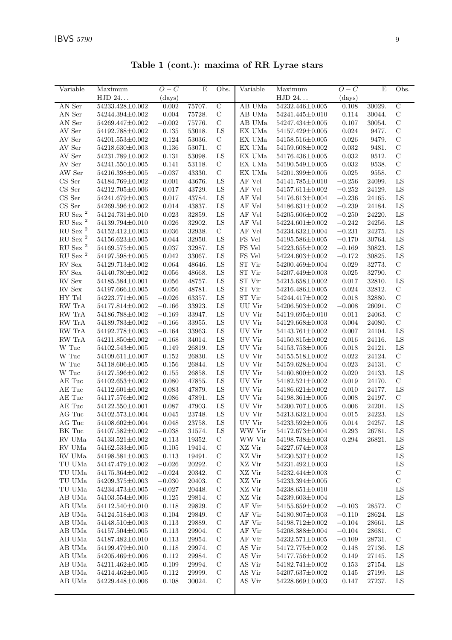Table 1 (cont.): maxima of RR Lyrae stars

| Variable                | Maximum               | $O-C$       | $\mathbf E$ | Obs.           | Variable               | $\overline{\text{Maximum}}$ | $O-C$     | E      | Obs.           |
|-------------------------|-----------------------|-------------|-------------|----------------|------------------------|-----------------------------|-----------|--------|----------------|
|                         | HJD 24                | (days)      |             |                |                        | HJD 24                      | (days)    |        |                |
| AN Ser                  | 54233.428±0.002       | 0.002       | 75707.      | $\overline{C}$ | AB UMa                 | 54232.446±0.005             | 0.108     | 30029. | $\overline{C}$ |
| AN Ser                  | 54244.394±0.002       | 0.004       | 75728.      | $\mathbf C$    | AB UMa                 | 54241.445±0.010             | 0.114     | 30044. | $\mathbf C$    |
| AN Ser                  | 54269.447±0.002       | $-0.002$    | 75776.      | $\mathbf C$    | AB UMa                 | 54247.434±0.005             | 0.107     | 30054. | $\mathbf C$    |
| AV Ser                  | 54192.788±0.002       | 0.135       | 53018.      | ${\rm LS}$     | EX UMa                 | $54157.429 \pm 0.005$       | 0.024     | 9477.  | $\mathcal{C}$  |
| AV Ser                  | $54201.553\pm0.002$   | 0.124       | 53036.      | $\mathbf C$    | EX UMa                 | 54158.516±0.005             | 0.026     | 9479.  | $\mathbf C$    |
| AV Ser                  | $54218.630 \pm 0.003$ | 0.136       | 53071.      | $\mathbf C$    | EX UMa                 | 54159.608±0.002             | 0.032     | 9481.  | $\mathbf C$    |
| $\operatorname{AV}$ Ser | 54231.789±0.002       | 0.131       | 53098.      | ${\rm LS}$     | EX UMa                 | 54176.436±0.005             | 0.032     | 9512.  | $\mathbf C$    |
| AV Ser                  | 54241.550 $\pm$ 0.005 | 0.141       | 53118.      | $\mathbf C$    | EX UMa                 | 54190.549±0.005             | 0.032     | 9538.  | $\mathcal{C}$  |
| AW Ser                  | 54216.398±0.005       | $-0.037$    | 43330.      | $\mathbf C$    | EX UMa                 | $54201.399 \pm 0.005$       | 0.025     | 9558.  | $\mathcal{C}$  |
| $CS$ Ser                | 54184.769±0.002       | 0.001       | 43676.      | LS             | AF Vel                 | 54141.785±0.010             | $-0.256$  | 24099. | LS             |
| CS Ser                  | 54212.705±0.006       | 0.017       | 43729.      | LS             | AF Vel                 | $54157.611 \pm 0.002$       | $-0.252$  | 24129. | LS             |
| $\rm CS\,\, Ser$        | 54241.679±0.003       | 0.017       | 43784.      | LS             | AF Vel                 | 54176.613±0.004             | $-0.236$  | 24165. | LS             |
| CS Ser                  | 54269.596±0.002       | 0.014       | 43837.      | ${\rm LS}$     | $\rm AF$ Vel           | $54186.631 \pm 0.002$       | $-0.239$  | 24184. | LS             |
| ${\rm RU}$ Sex $^2$     | $54124.731 \pm 0.010$ | $\,0.023\,$ | 32859.      | LS             | AF Vel                 | 54205.606±0.002             | $-0.250$  | 24220. | LS             |
| $\mathrm{RU}$ Sex $^2$  | 54139.794±0.010       | 0.026       | 32902.      | ${\rm LS}$     | AF Vel                 | $54224.601 \pm 0.002$       | $-0.242$  | 24256. | LS             |
| $\mathrm{RU}$ Sex $^2$  | 54152.412±0.003       | 0.036       | 32938.      | $\mathcal{C}$  | AF Vel                 | 54234.632±0.004             | $-0.231$  | 24275. | LS             |
| ${\rm RU}$ Sex $^2$     | $54156.623 \pm 0.005$ | 0.044       | 32950.      | LS             | FS Vel                 | 54195.586±0.005             | $-0.170$  | 30764. | LS             |
| $\mathrm{RU}$ Sex $^2$  | 54169.575±0.005       | 0.037       | 32987.      | LS             | FS Vel                 | $54223.655 \pm 0.002$       | $-0.169$  | 30823. | LS             |
| $\mathrm{RU}$ Sex $^2$  | 54197.598±0.005       | 0.042       | 33067.      | ${\rm LS}$     | FS Vel                 | $54224.603 \pm 0.002$       | $-0.172$  | 30825. | LS             |
| RV Sex                  | 54129.713±0.002       | 0.064       | 48646.      | LS             | ${\rm ST}$ Vir         | 54200.469±0.004             | 0.029     | 32773. | $\mathbf C$    |
| RV Sex                  | 54140.780±0.002       | 0.056       | 48668.      | LS             | ST Vir                 | 54207.449±0.003             | 0.025     | 32790. | $\mathbf C$    |
| RV Sex                  | 54185.584±0.001       | 0.056       | 48757.      | LS             | ${\rm ST}$ ${\rm Vir}$ | 54215.658±0.002             | 0.017     | 32810. | LS             |
| ${\rm RV}$ Sex          | 54197.666±0.005       | 0.056       | 48781.      | LS             | ST Vir                 | 54216.486±0.005             | 0.024     | 32812. | $\mathbf C$    |
| $\rm{HY}$ Tel           | $54223.771 \pm 0.005$ | $-0.026$    | 63357.      | LS             | ST Vir                 | 54244.417±0.002             | 0.018     | 32880. | $\mathbf C$    |
| RW TrA                  | 54177.814±0.002       | $-0.166$    | 33923.      | ${\rm LS}$     | UU Vir                 | 54206.503±0.002             | $-0.008$  | 26091. | $\mathbf C$    |
| RW TrA                  | 54186.788±0.002       | $-0.169$    | 33947.      | LS             | UV Vir                 | 54119.695±0.010             | 0.011     | 24063. | $\mathbf C$    |
| RW TrA                  | 54189.783±0.002       | $-0.166$    | 33955.      | ${\rm LS}$     | UV Vir                 | 54129.668±0.003             | 0.004     | 24080. | $\mathcal{C}$  |
| RW TrA                  | 54192.778±0.003       | $-0.164$    | 33963.      | LS             | UV Vir                 | $54143.761 \pm 0.002$       | 0.007     | 24104. | LS             |
| RW TrA                  | 54211.850±0.002       | $-0.168$    | 34014.      | LS             | UV Vir                 | 54150.815±0.002             | 0.016     | 24116. | LS             |
| W Tuc                   | $54102.543\pm0.005$   | 0.149       | 26819.      | LS             | UV Vir                 | $54153.753\pm0.005$         | 0.018     | 24121. | LS             |
| W Tuc                   | $54109.611 \pm 0.007$ | 0.152       | 26830.      | LS             | UV Vir                 | 54155.518±0.002             | 0.022     | 24124. | $\mathcal{C}$  |
| W Tuc                   | 54118.606±0.005       | 0.156       | 26844.      | LS             | UV Vir                 | 54159.628±0.004             | 0.023     | 24131. | $\mathcal{C}$  |
| W Tuc                   | 54127.596±0.002       | 0.155       | 26858.      | LS             | UV Vir                 | 54160.800±0.002             | 0.020     | 24133. | LS             |
| $\mathrm{AE}$ Tuc       | 54102.653±0.002       | 0.080       | 47855.      | LS             | UV Vir                 | $54182.521 \pm 0.002$       | 0.019     | 24170. | $\mathcal{C}$  |
| AE Tuc                  | $54112.601 \pm 0.002$ | 0.083       | 47879.      | LS             | UV Vir                 | $54186.621 \pm 0.002$       | 0.010     | 24177. | LS             |
| AE Tuc                  | $54117.576{\pm}0.002$ | 0.086       | 47891.      | LS             | UV Vir                 | $54198.361 \pm 0.005$       | 0.008     | 24197. | $\mathbf C$    |
| AE Tuc                  | 54122.550±0.001       | 0.087       | 47903.      | LS             | UV Vir                 | $54200.707{\pm}0.005$       | 0.006     | 24201. | LS             |
| AG Tuc                  | $54102.573 \pm 0.004$ | 0.045       | 23748.      | ${\rm LS}$     | UV Vir                 | $54213.632\pm0.004$         | 0.015     | 24223. | LS             |
| AG Tuc                  | 54108.602±0.004       | 0.048       | 23758.      | ${\rm LS}$     | UV Vir                 | 54233.592±0.005             | 0.014     | 24257. | LS             |
| BK Tuc                  | $54107.582 \pm 0.002$ | $-0.038$    | 31574.      | ${\rm LS}$     | WW Vir                 | $54172.673{\pm}0.004$       | $0.293\,$ | 26781. | ${\rm LS}$     |
| RV UMa                  | $54133.521 \pm 0.002$ | 0.113       | 19352.      | $\mathbf C$    | WW Vir                 | 54198.738±0.003             | 0.294     | 26821. | LS             |
| RV UMa                  | $54162.533\pm0.005$   | 0.105       | 19414.      | $\mathbf C$    | XZ Vir                 | 54227.674±0.003             |           |        | LS             |
| RV UMa                  | 54198.581±0.003       | 0.113       | 19491.      | $\mathcal{C}$  | XZ Vir                 | $54230.537 \pm 0.002$       |           |        | LS             |
| TU UMa                  | 54147.479±0.002       | $-0.026$    | 20292.      | $\mathbf C$    | XZ Vir                 | 54231.492±0.003             |           |        | LS             |
| TU UMa                  | 54175.364±0.002       | $-0.024$    | 20342.      | $\mathbf C$    | XZ Vir                 | 54232.444±0.003             |           |        | $\mathbf C$    |
| TU UMa                  | 54209.375±0.003       | $-0.030$    | 20403.      | $\mathcal{C}$  | XZ Vir                 | $54233.394 \pm 0.005$       |           |        | $\mathbf C$    |
| TU UMa                  | 54234.473±0.005       | $-0.027$    | 20448.      | $\mathcal C$   | XZ Vir                 | $54238.651 \pm 0.010$       |           |        | LS             |
| AB UMa                  | 54103.554±0.006       | $0.125\,$   | 29814.      | $\mathbf C$    | XZ Vir                 | 54239.603±0.004             |           |        | LS             |
| AB UMa                  | 54112.540±0.010       | 0.118       | 29829.      | $\mathcal{C}$  | AF Vir                 | $54155.659 \pm 0.002$       | $-0.103$  | 28572. | $\mathcal{C}$  |
| AB UMa                  | 54124.518±0.003       | 0.104       | 29849.      | $\mathcal{C}$  | AF Vir                 | 54180.807±0.003             | $-0.110$  | 28624. | LS             |
| AB UMa                  | 54148.510±0.003       | 0.113       | 29889.      | $\mathbf C$    | AF Vir                 | 54198.712±0.002             | $-0.104$  | 28661. | LS             |
| AB UMa                  | $54157.504 \pm 0.005$ | 0.113       | 29904.      | $\mathcal{C}$  | AF Vir                 | $54208.388\pm0.004$         | $-0.104$  | 28681. | $\mathbf C$    |
| AB UMa                  | 54187.482±0.010       | 0.113       | 29954.      | $\mathcal C$   | AF Vir                 | $54232.571 \pm 0.005$       | $-0.109$  | 28731. | $\mathbf C$    |
| AB UMa                  | 54199.479±0.010       | 0.118       | 29974.      | $\mathbf C$    | AS Vir                 | 54172.775±0.002             | 0.148     | 27136. | LS             |
| ${\rm AB}$ UMa          | 54205.469±0.006       | 0.112       | 29984.      | $\mathcal{C}$  | AS Vir                 | 54177.756±0.002             | 0.149     | 27145. | LS             |
| AB UMa                  | 54211.462±0.005       | 0.109       | 29994.      | $\mathcal{C}$  | AS Vir                 | 54182.741±0.002             | 0.153     | 27154. | LS             |
| AB UMa                  | 54214.462±0.005       | 0.112       | 29999.      | $\mathbf C$    | AS Vir                 | 54207.637±0.002             | 0.145     | 27199. | LS             |
| AB UMa                  | 54229.448±0.006       | 0.108       | 30024.      | $\mathcal{C}$  | AS Vir                 | 54228.669±0.003             | 0.147     | 27237. | LS             |
|                         |                       |             |             |                |                        |                             |           |        |                |